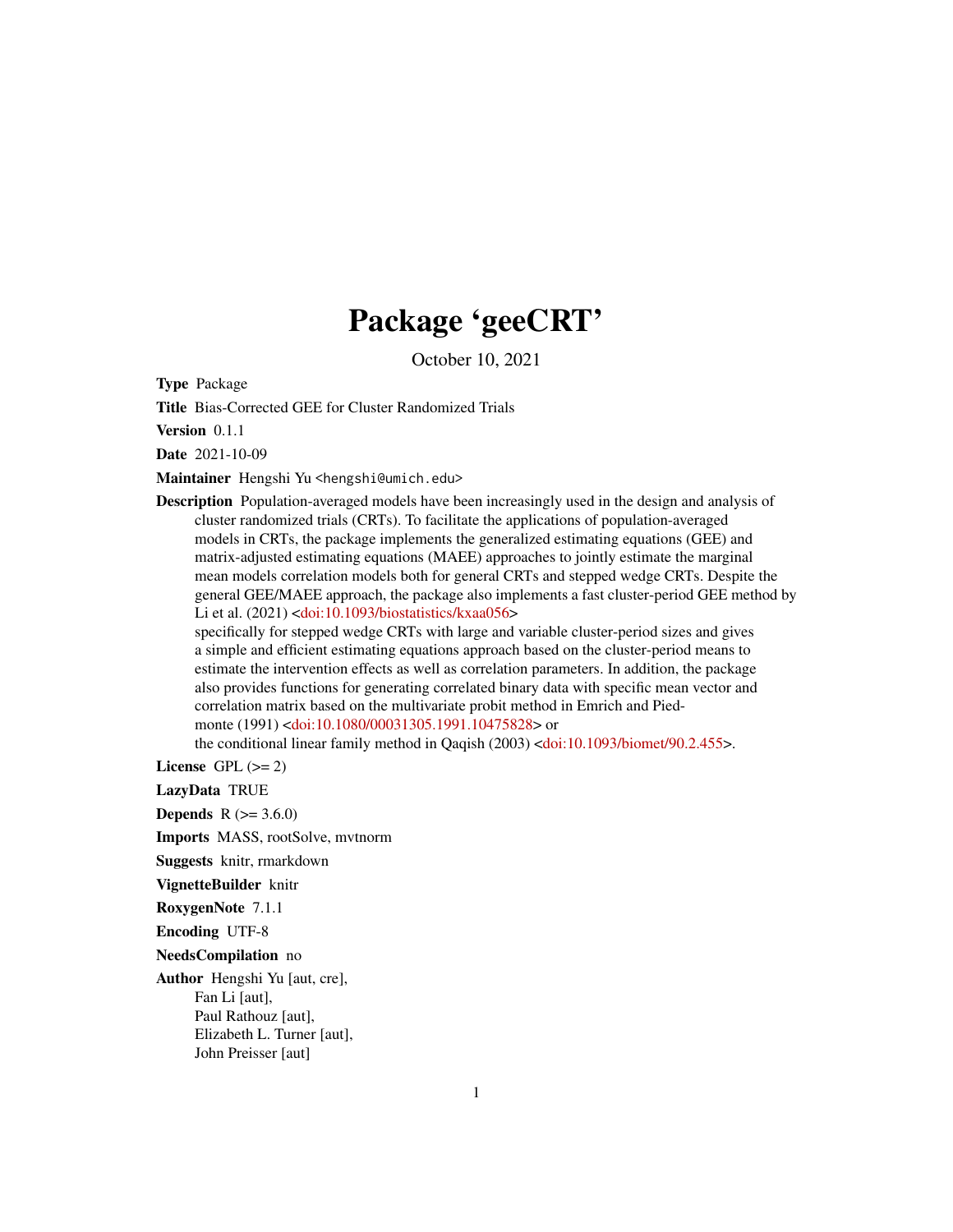## Package 'geeCRT'

October 10, 2021

<span id="page-0-0"></span>Type Package

Title Bias-Corrected GEE for Cluster Randomized Trials

Version 0.1.1

Date 2021-10-09

Maintainer Hengshi Yu <hengshi@umich.edu>

Description Population-averaged models have been increasingly used in the design and analysis of cluster randomized trials (CRTs). To facilitate the applications of population-averaged models in CRTs, the package implements the generalized estimating equations (GEE) and matrix-adjusted estimating equations (MAEE) approaches to jointly estimate the marginal mean models correlation models both for general CRTs and stepped wedge CRTs. Despite the general GEE/MAEE approach, the package also implements a fast cluster-period GEE method by Li et al. (2021) [<doi:10.1093/biostatistics/kxaa056>](https://doi.org/10.1093/biostatistics/kxaa056)

specifically for stepped wedge CRTs with large and variable cluster-period sizes and gives a simple and efficient estimating equations approach based on the cluster-period means to estimate the intervention effects as well as correlation parameters. In addition, the package also provides functions for generating correlated binary data with specific mean vector and correlation matrix based on the multivariate probit method in Emrich and Piedmonte (1991) [<doi:10.1080/00031305.1991.10475828>](https://doi.org/10.1080/00031305.1991.10475828) or

the conditional linear family method in Qaqish (2003) [<doi:10.1093/biomet/90.2.455>](https://doi.org/10.1093/biomet/90.2.455).

License GPL  $(>= 2)$ 

LazyData TRUE

**Depends**  $R$  ( $> = 3.6.0$ )

Imports MASS, rootSolve, mvtnorm

Suggests knitr, rmarkdown

VignetteBuilder knitr

RoxygenNote 7.1.1

Encoding UTF-8

NeedsCompilation no

Author Hengshi Yu [aut, cre], Fan Li [aut], Paul Rathouz [aut], Elizabeth L. Turner [aut],

John Preisser [aut]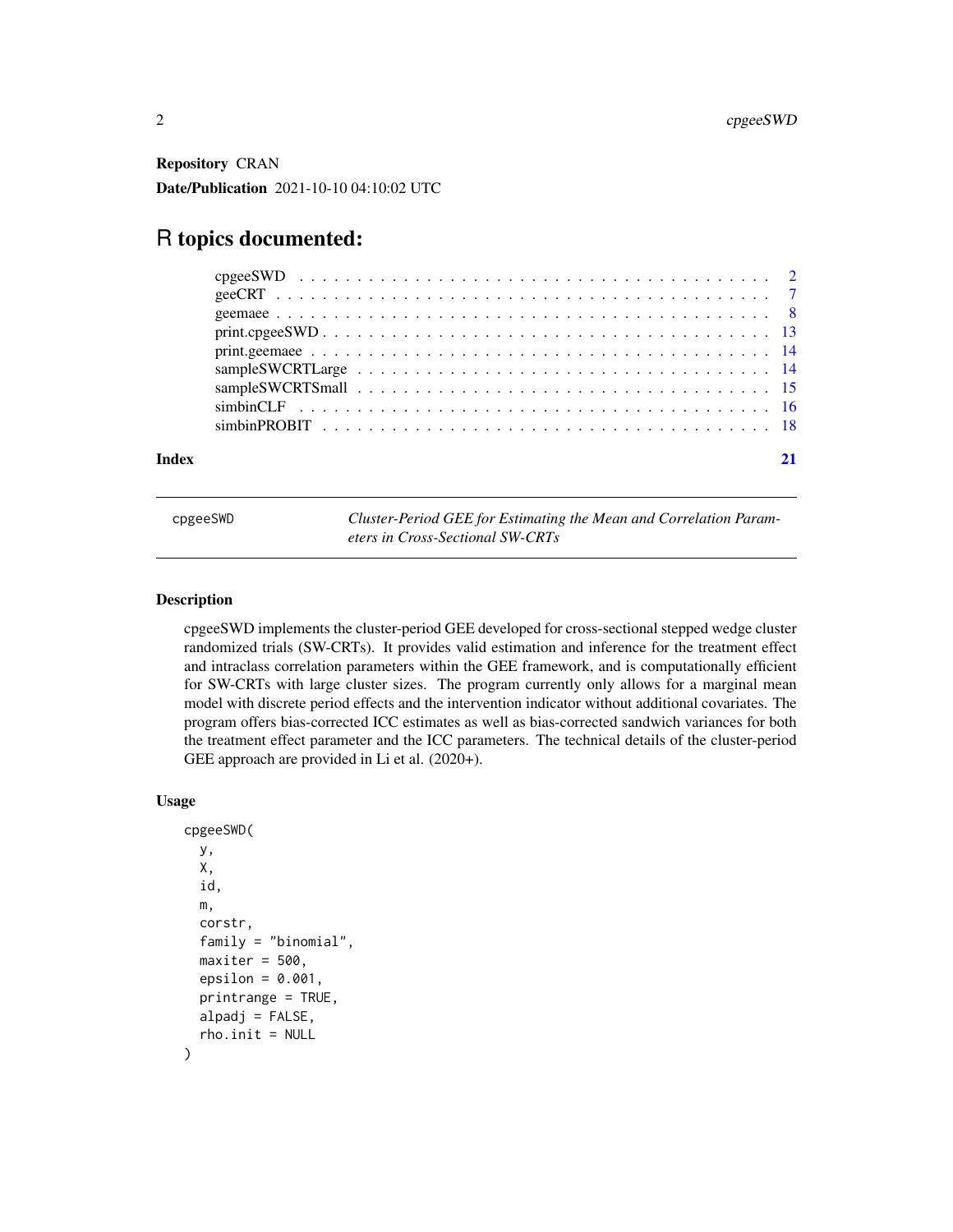<span id="page-1-0"></span>Repository CRAN Date/Publication 2021-10-10 04:10:02 UTC

### R topics documented:

| Index |  |
|-------|--|

cpgeeSWD *Cluster-Period GEE for Estimating the Mean and Correlation Parameters in Cross-Sectional SW-CRTs*

#### **Description**

cpgeeSWD implements the cluster-period GEE developed for cross-sectional stepped wedge cluster randomized trials (SW-CRTs). It provides valid estimation and inference for the treatment effect and intraclass correlation parameters within the GEE framework, and is computationally efficient for SW-CRTs with large cluster sizes. The program currently only allows for a marginal mean model with discrete period effects and the intervention indicator without additional covariates. The program offers bias-corrected ICC estimates as well as bias-corrected sandwich variances for both the treatment effect parameter and the ICC parameters. The technical details of the cluster-period GEE approach are provided in Li et al. (2020+).

#### Usage

```
cpgeeSWD(
 y,
 X,
  id,
  m,
  corstr,
  family = "binomial",
 maxiter = 500.
  epsilon = 0.001,
 printrange = TRUE,
  alpadj = FALSE,rho.init = NULL)
```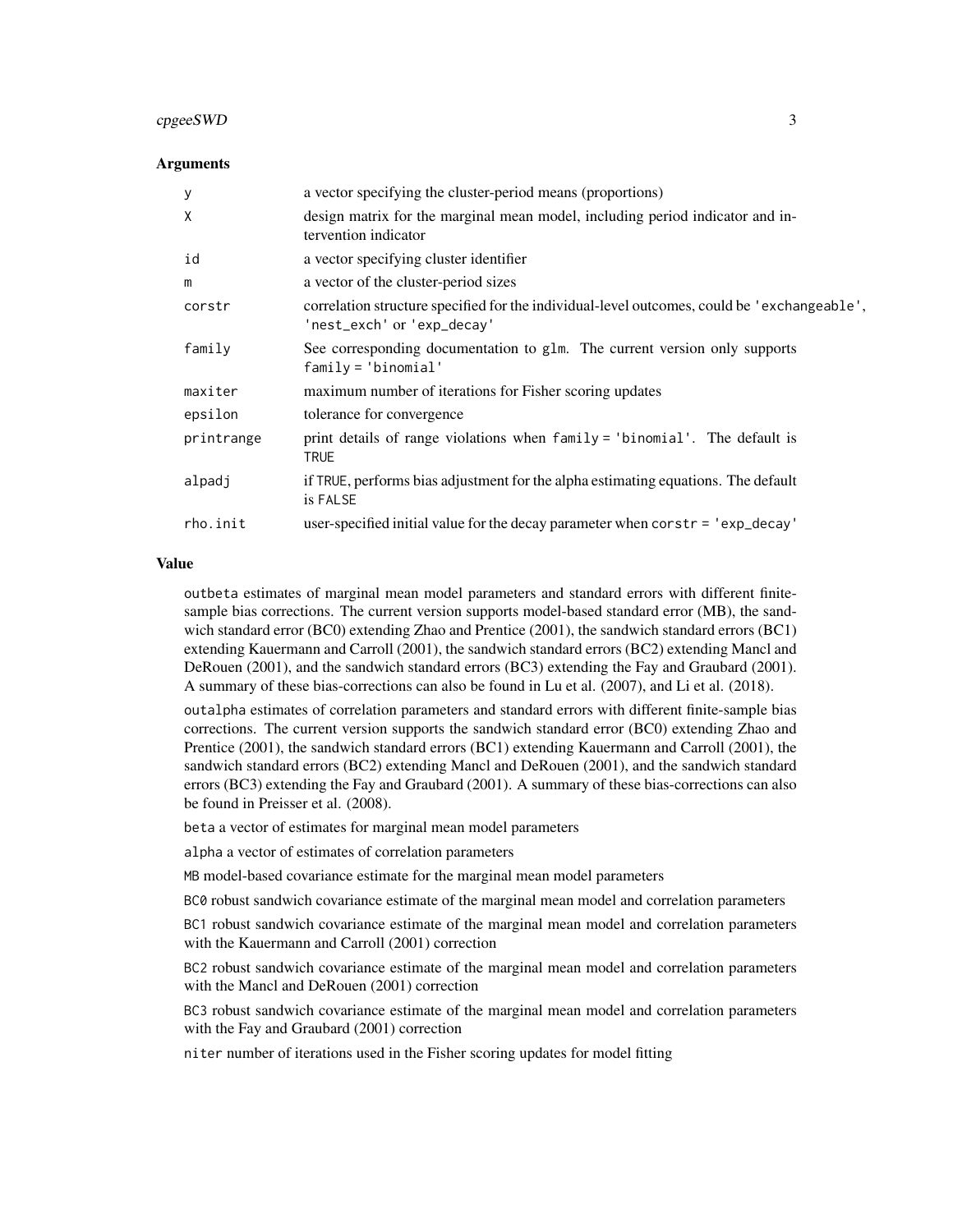#### cpgeeSWD 3

#### Arguments

| У          | a vector specifying the cluster-period means (proportions)                                                                |
|------------|---------------------------------------------------------------------------------------------------------------------------|
| X          | design matrix for the marginal mean model, including period indicator and in-<br>tervention indicator                     |
| id         | a vector specifying cluster identifier                                                                                    |
| m          | a vector of the cluster-period sizes                                                                                      |
| corstr     | correlation structure specified for the individual-level outcomes, could be 'exchangeable',<br>'nest_exch' or 'exp_decay' |
| family     | See corresponding documentation to glm. The current version only supports<br>$family = 'binomial'$                        |
| maxiter    | maximum number of iterations for Fisher scoring updates                                                                   |
| epsilon    | tolerance for convergence                                                                                                 |
| printrange | print details of range violations when family = 'binomial'. The default is<br><b>TRUE</b>                                 |
| alpadj     | if TRUE, performs bias adjustment for the alpha estimating equations. The default<br>is FALSE                             |
| rho.init   | user-specified initial value for the decay parameter when corstr = 'exp_decay'                                            |
|            |                                                                                                                           |

#### Value

outbeta estimates of marginal mean model parameters and standard errors with different finitesample bias corrections. The current version supports model-based standard error (MB), the sandwich standard error (BC0) extending Zhao and Prentice (2001), the sandwich standard errors (BC1) extending Kauermann and Carroll (2001), the sandwich standard errors (BC2) extending Mancl and DeRouen (2001), and the sandwich standard errors (BC3) extending the Fay and Graubard (2001). A summary of these bias-corrections can also be found in Lu et al. (2007), and Li et al. (2018).

outalpha estimates of correlation parameters and standard errors with different finite-sample bias corrections. The current version supports the sandwich standard error (BC0) extending Zhao and Prentice (2001), the sandwich standard errors (BC1) extending Kauermann and Carroll (2001), the sandwich standard errors (BC2) extending Mancl and DeRouen (2001), and the sandwich standard errors (BC3) extending the Fay and Graubard (2001). A summary of these bias-corrections can also be found in Preisser et al. (2008).

beta a vector of estimates for marginal mean model parameters

alpha a vector of estimates of correlation parameters

MB model-based covariance estimate for the marginal mean model parameters

BC0 robust sandwich covariance estimate of the marginal mean model and correlation parameters

BC1 robust sandwich covariance estimate of the marginal mean model and correlation parameters with the Kauermann and Carroll (2001) correction

BC2 robust sandwich covariance estimate of the marginal mean model and correlation parameters with the Mancl and DeRouen (2001) correction

BC3 robust sandwich covariance estimate of the marginal mean model and correlation parameters with the Fay and Graubard (2001) correction

niter number of iterations used in the Fisher scoring updates for model fitting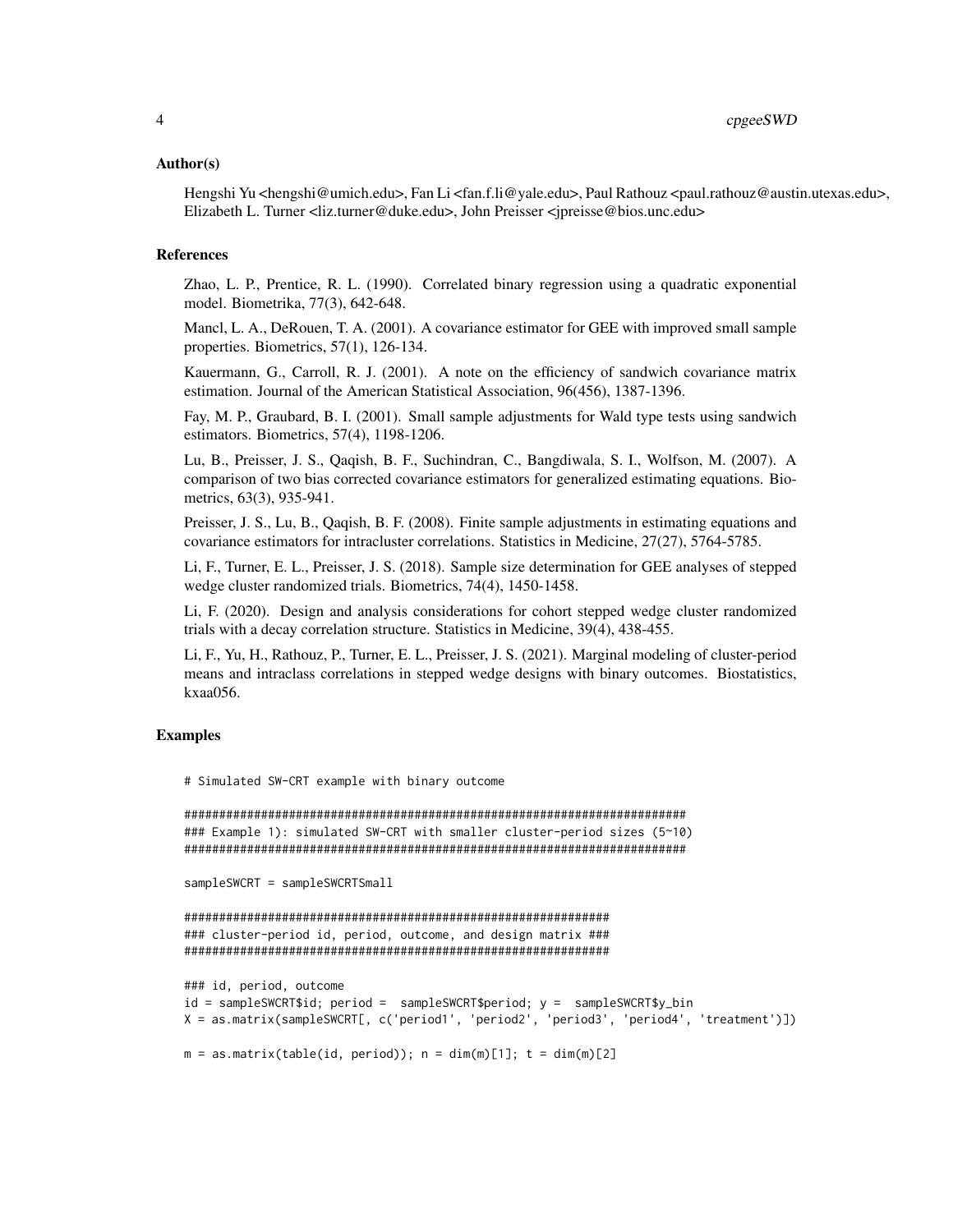#### Author(s)

Hengshi Yu <hengshi@umich.edu>, Fan Li <fan.f.li@yale.edu>, Paul Rathouz <paul.rathouz@austin.utexas.edu>, Elizabeth L. Turner <liz.turner@duke.edu>, John Preisser <jpreisse@bios.unc.edu>

#### References

Zhao, L. P., Prentice, R. L. (1990). Correlated binary regression using a quadratic exponential model. Biometrika, 77(3), 642-648.

Mancl, L. A., DeRouen, T. A. (2001). A covariance estimator for GEE with improved small sample properties. Biometrics, 57(1), 126-134.

Kauermann, G., Carroll, R. J. (2001). A note on the efficiency of sandwich covariance matrix estimation. Journal of the American Statistical Association, 96(456), 1387-1396.

Fay, M. P., Graubard, B. I. (2001). Small sample adjustments for Wald type tests using sandwich estimators. Biometrics, 57(4), 1198-1206.

Lu, B., Preisser, J. S., Qaqish, B. F., Suchindran, C., Bangdiwala, S. I., Wolfson, M. (2007). A comparison of two bias corrected covariance estimators for generalized estimating equations. Biometrics, 63(3), 935-941.

Preisser, J. S., Lu, B., Qaqish, B. F. (2008). Finite sample adjustments in estimating equations and covariance estimators for intracluster correlations. Statistics in Medicine, 27(27), 5764-5785.

Li, F., Turner, E. L., Preisser, J. S. (2018). Sample size determination for GEE analyses of stepped wedge cluster randomized trials. Biometrics, 74(4), 1450-1458.

Li, F. (2020). Design and analysis considerations for cohort stepped wedge cluster randomized trials with a decay correlation structure. Statistics in Medicine, 39(4), 438-455.

Li, F., Yu, H., Rathouz, P., Turner, E. L., Preisser, J. S. (2021). Marginal modeling of cluster-period means and intraclass correlations in stepped wedge designs with binary outcomes. Biostatistics, kxaa056.

#### Examples

# Simulated SW-CRT example with binary outcome

```
########################################################################
### Example 1): simulated SW-CRT with smaller cluster-period sizes (5~10)
########################################################################
```
sampleSWCRT = sampleSWCRTSmall

```
#############################################################
### cluster-period id, period, outcome, and design matrix ###
#############################################################
```

```
### id, period, outcome
id = sampleSWCRT$id; period = sampleSWCRT$period; y = sampleSWCRT$y_bin
X = as.matrix(sampleSWCRT[, c('period1', 'period2', 'period3', 'period4', 'treatment')])
```

```
m = as.matrix(table(id, period)); n = dim(m)[1]; t = dim(m)[2]
```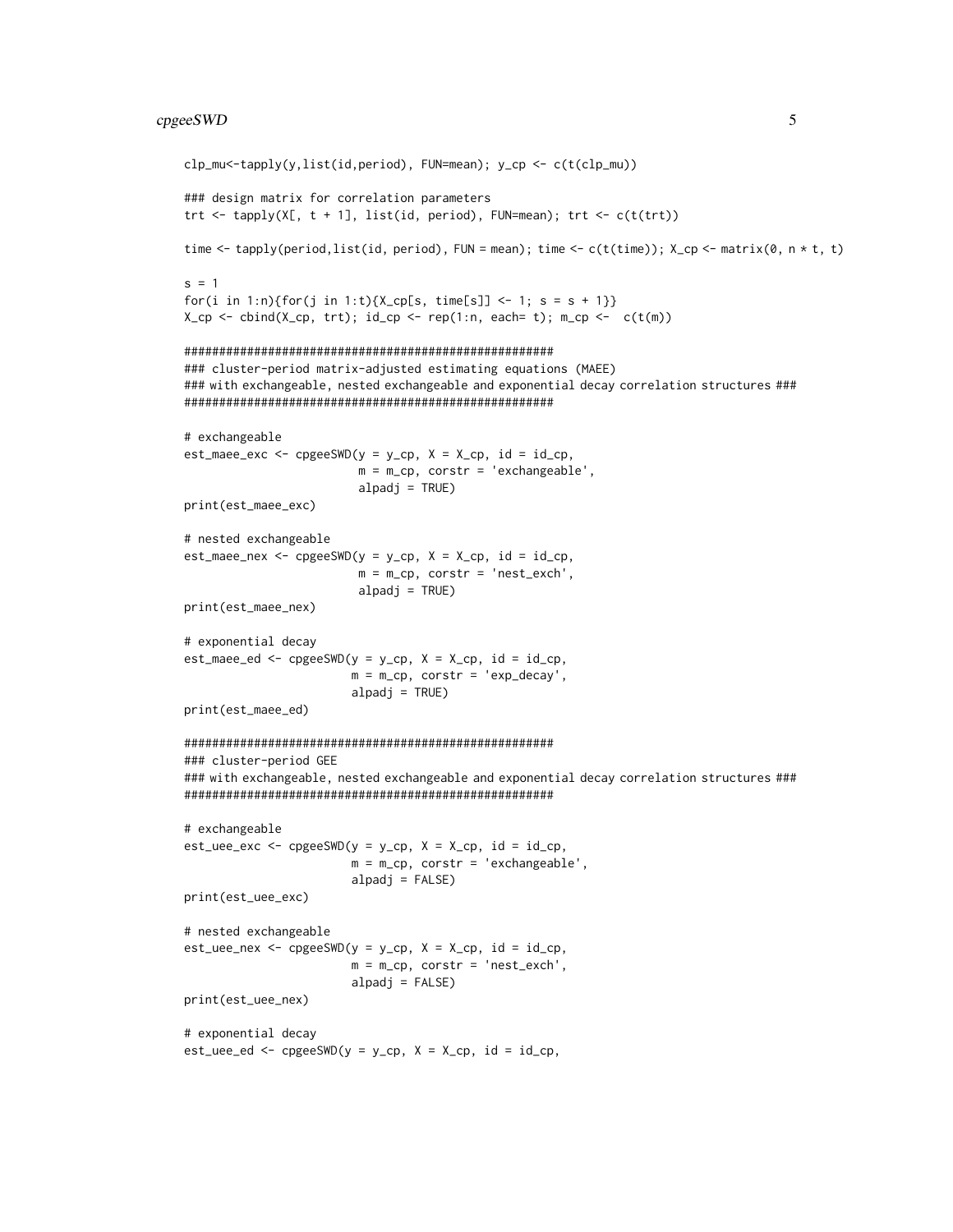#### cpgeeSWD 5

```
clp_mu<-tapply(y,list(id,period), FUN=mean); y_cp <- c(t(clp_mu))
### design matrix for correlation parameters
trt <- tapply(X[, t + 1], list(id, period), FUN=mean); trt <- c(t(t))
time <- tapply(period,list(id, period), FUN = mean); time <- c(t(time)); X_cp <- matrix(0, n * t, t)
s = 1for(i in 1:n){for(j in 1:t){X_cp[s, time[s]] <- 1; s = s + 1}}
X_cp <- cbind(X_cp, trt); id_cp <- rep(1:n, each= t); m_cp <- c(t(m))
#####################################################
### cluster-period matrix-adjusted estimating equations (MAEE)
### with exchangeable, nested exchangeable and exponential decay correlation structures ###
#####################################################
# exchangeable
est_maee_exc <- cpgeeSWD(y = y_cp, X = X_cp, id = id_cp,
                         m = m_ccp, corstr = 'exchangeable',
                         alpadj = TRUE)
print(est_maee_exc)
# nested exchangeable
est\_maee\_nex \leq cpgeeSWD(y = y_cp, X = X_cp, id = id_cp,m = m_cp, corstr = 'nest_exch',
                         alpadj = TRUE)
print(est_maee_nex)
# exponential decay
est_maee_ed <- cpgeeSWD(y = y_cp, X = X_cp, id = id_cp,m = m_cp, corstr = 'exp_decay',
                        alpadj = TRUE)
print(est_maee_ed)
#####################################################
### cluster-period GEE
### with exchangeable, nested exchangeable and exponential decay correlation structures ###
#####################################################
# exchangeable
est\_uee\_exc \leq cpgeeSWD(y = y_cp, X = X_cp, id = id_cp,m = m_cp, corstr = 'exchangeable',
                        alpadj = FALSE)
print(est_uee_exc)
# nested exchangeable
est\_uee\_nex \leq cpgeeSWD(y = y_cp, X = X_cp, id = id_cp,m = m_{cp}, corstr = 'nest_exch',
                        alpadj = FALSE)
print(est_uee_nex)
# exponential decay
est\_uee\_ed \leq -cpgeeSWD(y = y_cp, X = X_cp, id = id_cp,
```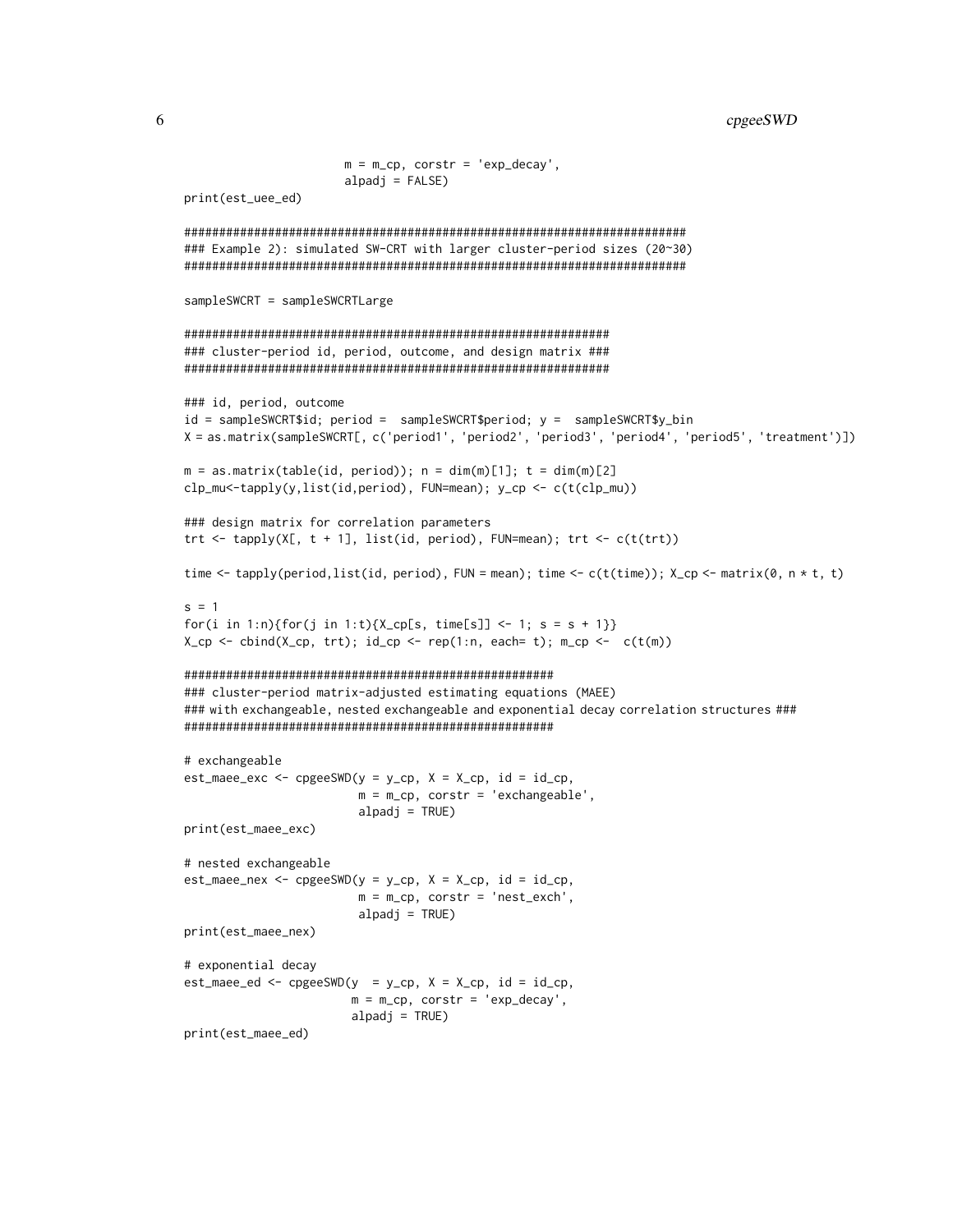```
m = m_ccp, corstr = 'exp_decay',
                  alpadj = FALSE)print(est_uee_ed)
### Example 2): simulated SW-CRT with larger cluster-period sizes (20~30)
sampleSWCRT = sampleSWCRTLarge
### cluster-period id, period, outcome, and design matrix ###
### id, period, outcome
id = sampleSWCRT$id; period = sampleSWCRT$period; y = sampleSWCRT$y_bin
X = as.matrix(sampleSWCRT[, c('period1', 'period2', 'period3', 'period4', 'period5', 'treatment')])
m = as.matrix(table(id, period)); n = dim(m)[1]; t = dim(m)[2]clp_mu<-tapply(y,list(id,period), FUN=mean); y_cp <- c(t(clp_mu))
### design matrix for correlation parameters
trt <- tapply(X[, t + 1], list(id, period), FUN=mean); trt <- c(t(trt))time <- tapply(period, list(id, period), FUN = mean); time <- c(t(time)); X_cp <- matrix(0, n * t, t)
s = 1for(i in 1:n){for(j in 1:t){X_cp[s, time[s]] <- 1; s = s + 1}}
X_ccp <- cbind(X_cp, trt); id_cp <- rep(1:n, each= t); m_cp <- c(t(m))
### cluster-period matrix-adjusted estimating equations (MAEE)
### with exchangeable, nested exchangeable and exponential decay correlation structures ###
# exchangeable
est\_maee\_exc \leq cpgeeSWD(y = y_cpp, X = X_cpp, id = id_cpp,m = m_ccp, corstr = 'exchangeable',
                    alpadj = TRUE)
print(est_maee_exc)
# nested exchangeable
est_maee_new \leq cpgeeSWD(y = y_cp, X = X_cp, id = id_cp,m = m_ccp, corstr = 'nest_exch',
                    alpadj = TRUE)
print(est_maee_nex)
# exponential decay
est\_maee\_ed \leq -cpgeeSWD(y = y_cp, X = X_cp, id = id_cp,m = m_ccp, corstr = 'exp_decay',
                   alpadj = TRUE)
print(est_maee_ed)
```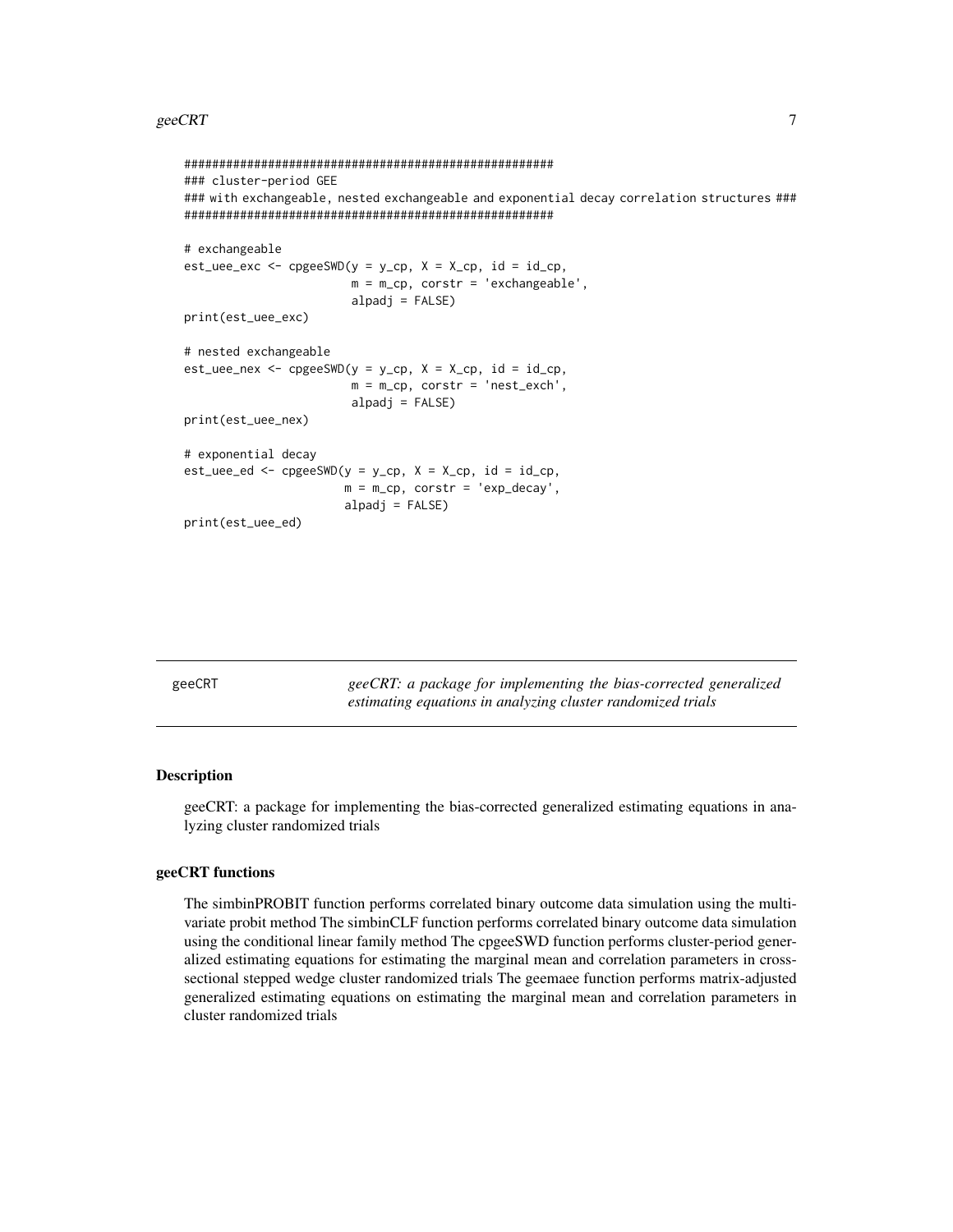#### <span id="page-6-0"></span> $\epsilon$  geeCRT  $\sim$  7

```
#####################################################
### cluster-period GEE
### with exchangeable, nested exchangeable and exponential decay correlation structures ###
#####################################################
# exchangeable
est\_uee\_exc \leq c pgeeSWD(y = y_c p, X = X_c p, id = id_c p,m = m_cp, corstr = 'exchangeable',
                         alpadj = FALSE)
print(est_uee_exc)
# nested exchangeable
est\_uee\_nex \leq c pgeeSWD(y = y_c p, X = X_c p, id = id_c p,m = m_cp, corstr = 'nest_exch',
                         alpadj = FALSE)
print(est_uee_nex)
# exponential decay
est\_uee\_ed \leq c pgeeSWD(y = y_c p, X = X_c p, id = id_c p,m = m_ccp, corstr = 'exp_decay',
                        alpadj = FALSE)
print(est_uee_ed)
```
geeCRT *geeCRT: a package for implementing the bias-corrected generalized estimating equations in analyzing cluster randomized trials*

#### **Description**

geeCRT: a package for implementing the bias-corrected generalized estimating equations in analyzing cluster randomized trials

#### geeCRT functions

The simbinPROBIT function performs correlated binary outcome data simulation using the multivariate probit method The simbinCLF function performs correlated binary outcome data simulation using the conditional linear family method The cpgeeSWD function performs cluster-period generalized estimating equations for estimating the marginal mean and correlation parameters in crosssectional stepped wedge cluster randomized trials The geemaee function performs matrix-adjusted generalized estimating equations on estimating the marginal mean and correlation parameters in cluster randomized trials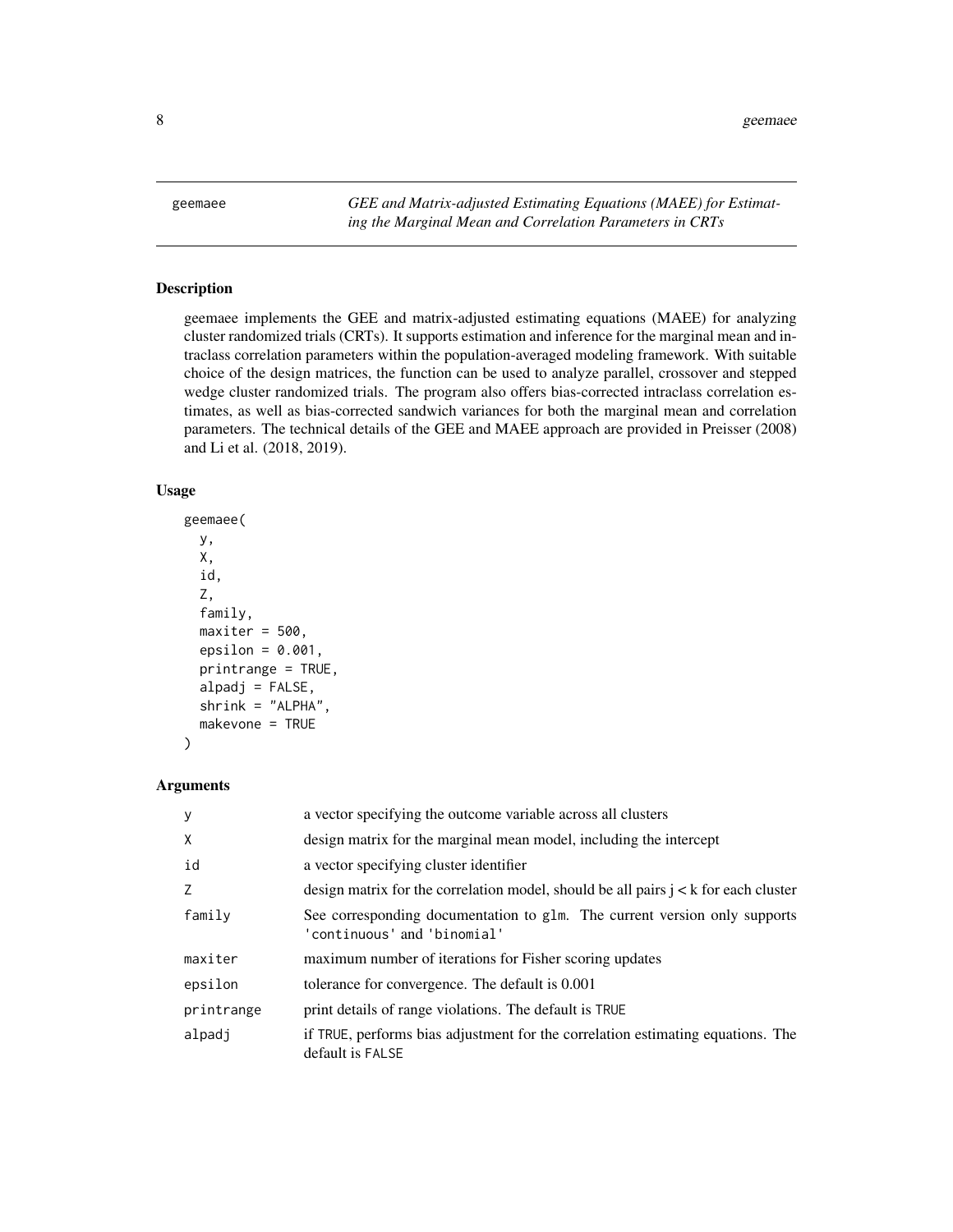<span id="page-7-0"></span>geemaee *GEE and Matrix-adjusted Estimating Equations (MAEE) for Estimating the Marginal Mean and Correlation Parameters in CRTs*

#### Description

geemaee implements the GEE and matrix-adjusted estimating equations (MAEE) for analyzing cluster randomized trials (CRTs). It supports estimation and inference for the marginal mean and intraclass correlation parameters within the population-averaged modeling framework. With suitable choice of the design matrices, the function can be used to analyze parallel, crossover and stepped wedge cluster randomized trials. The program also offers bias-corrected intraclass correlation estimates, as well as bias-corrected sandwich variances for both the marginal mean and correlation parameters. The technical details of the GEE and MAEE approach are provided in Preisser (2008) and Li et al. (2018, 2019).

#### Usage

```
geemaee(
  y,
 X,
  id,
  Z,
  family,
 maxiter = 500,
  epsilon = 0.001,
  printrange = TRUE,
  alpadj = FALSE,shrink = "ALPHA".makevone = TRUE
)
```
#### **Arguments**

| <b>V</b>   | a vector specifying the outcome variable across all clusters                                             |
|------------|----------------------------------------------------------------------------------------------------------|
| X          | design matrix for the marginal mean model, including the intercept                                       |
| id         | a vector specifying cluster identifier                                                                   |
| Z          | design matrix for the correlation model, should be all pairs $j < k$ for each cluster                    |
| family     | See corresponding documentation to glm. The current version only supports<br>'continuous' and 'binomial' |
| maxiter    | maximum number of iterations for Fisher scoring updates                                                  |
| epsilon    | tolerance for convergence. The default is 0.001                                                          |
| printrange | print details of range violations. The default is TRUE                                                   |
| alpadj     | if TRUE, performs bias adjustment for the correlation estimating equations. The<br>default is FALSE      |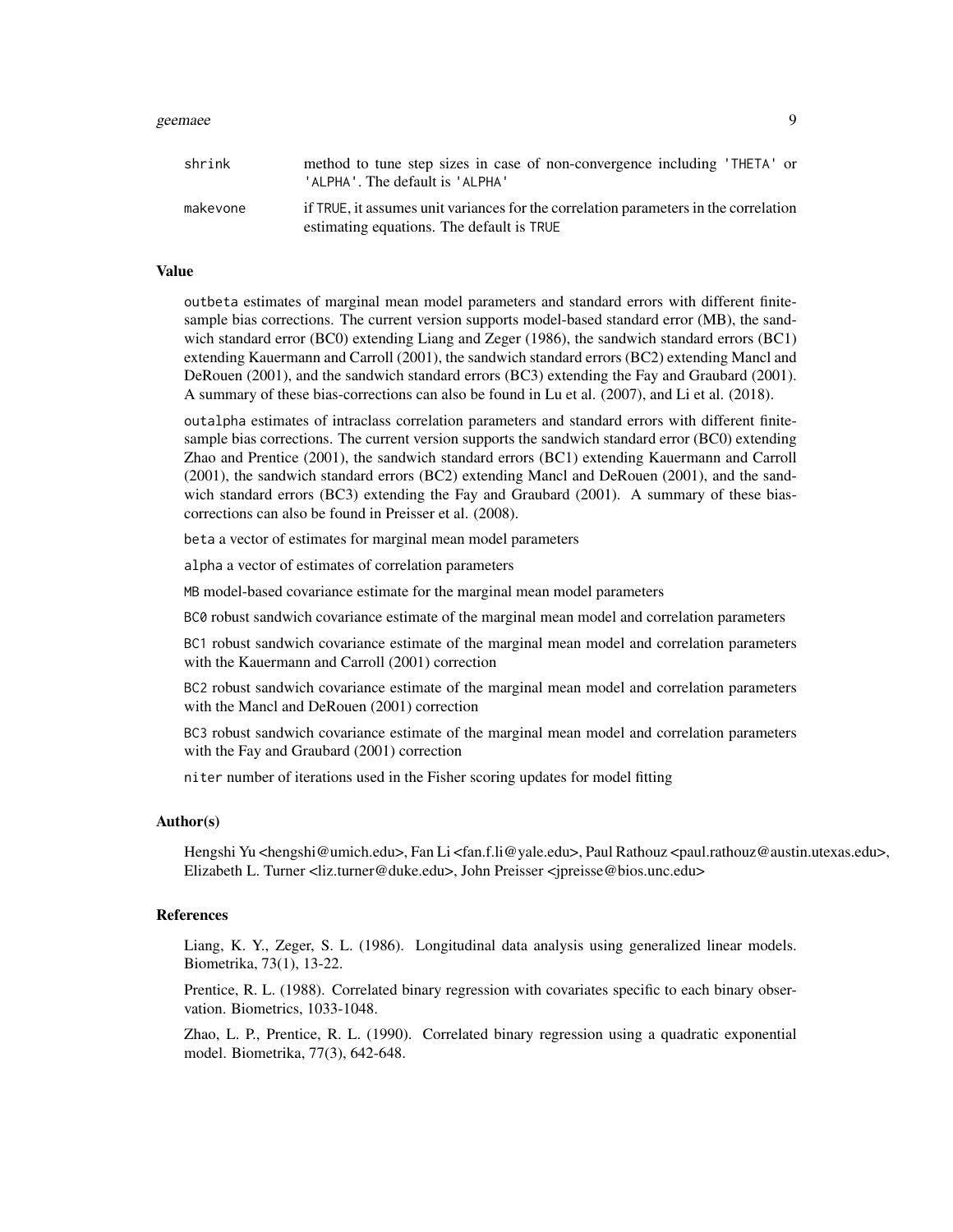#### geemaee 90 metals is a strong state of the strong state of the strong strong strong strong strong strong strong strong strong strong strong strong strong strong strong strong strong strong strong strong strong strong stron

| shrink   | method to tune step sizes in case of non-convergence including 'THETA' or<br>'ALPHA'. The default is 'ALPHA'                      |
|----------|-----------------------------------------------------------------------------------------------------------------------------------|
| makevone | if TRUE, it assumes unit variances for the correlation parameters in the correlation<br>estimating equations. The default is TRUE |

#### Value

outbeta estimates of marginal mean model parameters and standard errors with different finitesample bias corrections. The current version supports model-based standard error (MB), the sandwich standard error (BC0) extending Liang and Zeger (1986), the sandwich standard errors (BC1) extending Kauermann and Carroll (2001), the sandwich standard errors (BC2) extending Mancl and DeRouen (2001), and the sandwich standard errors (BC3) extending the Fay and Graubard (2001). A summary of these bias-corrections can also be found in Lu et al. (2007), and Li et al. (2018).

outalpha estimates of intraclass correlation parameters and standard errors with different finitesample bias corrections. The current version supports the sandwich standard error (BC0) extending Zhao and Prentice (2001), the sandwich standard errors (BC1) extending Kauermann and Carroll (2001), the sandwich standard errors (BC2) extending Mancl and DeRouen (2001), and the sandwich standard errors (BC3) extending the Fay and Graubard (2001). A summary of these biascorrections can also be found in Preisser et al. (2008).

beta a vector of estimates for marginal mean model parameters

alpha a vector of estimates of correlation parameters

MB model-based covariance estimate for the marginal mean model parameters

BC0 robust sandwich covariance estimate of the marginal mean model and correlation parameters

BC1 robust sandwich covariance estimate of the marginal mean model and correlation parameters with the Kauermann and Carroll (2001) correction

BC2 robust sandwich covariance estimate of the marginal mean model and correlation parameters with the Mancl and DeRouen (2001) correction

BC3 robust sandwich covariance estimate of the marginal mean model and correlation parameters with the Fay and Graubard (2001) correction

niter number of iterations used in the Fisher scoring updates for model fitting

#### Author(s)

Hengshi Yu <hengshi@umich.edu>, Fan Li <fan.f.li@yale.edu>, Paul Rathouz <paul.rathouz@austin.utexas.edu>, Elizabeth L. Turner <liz.turner@duke.edu>, John Preisser <jpreisse@bios.unc.edu>

#### References

Liang, K. Y., Zeger, S. L. (1986). Longitudinal data analysis using generalized linear models. Biometrika, 73(1), 13-22.

Prentice, R. L. (1988). Correlated binary regression with covariates specific to each binary observation. Biometrics, 1033-1048.

Zhao, L. P., Prentice, R. L. (1990). Correlated binary regression using a quadratic exponential model. Biometrika, 77(3), 642-648.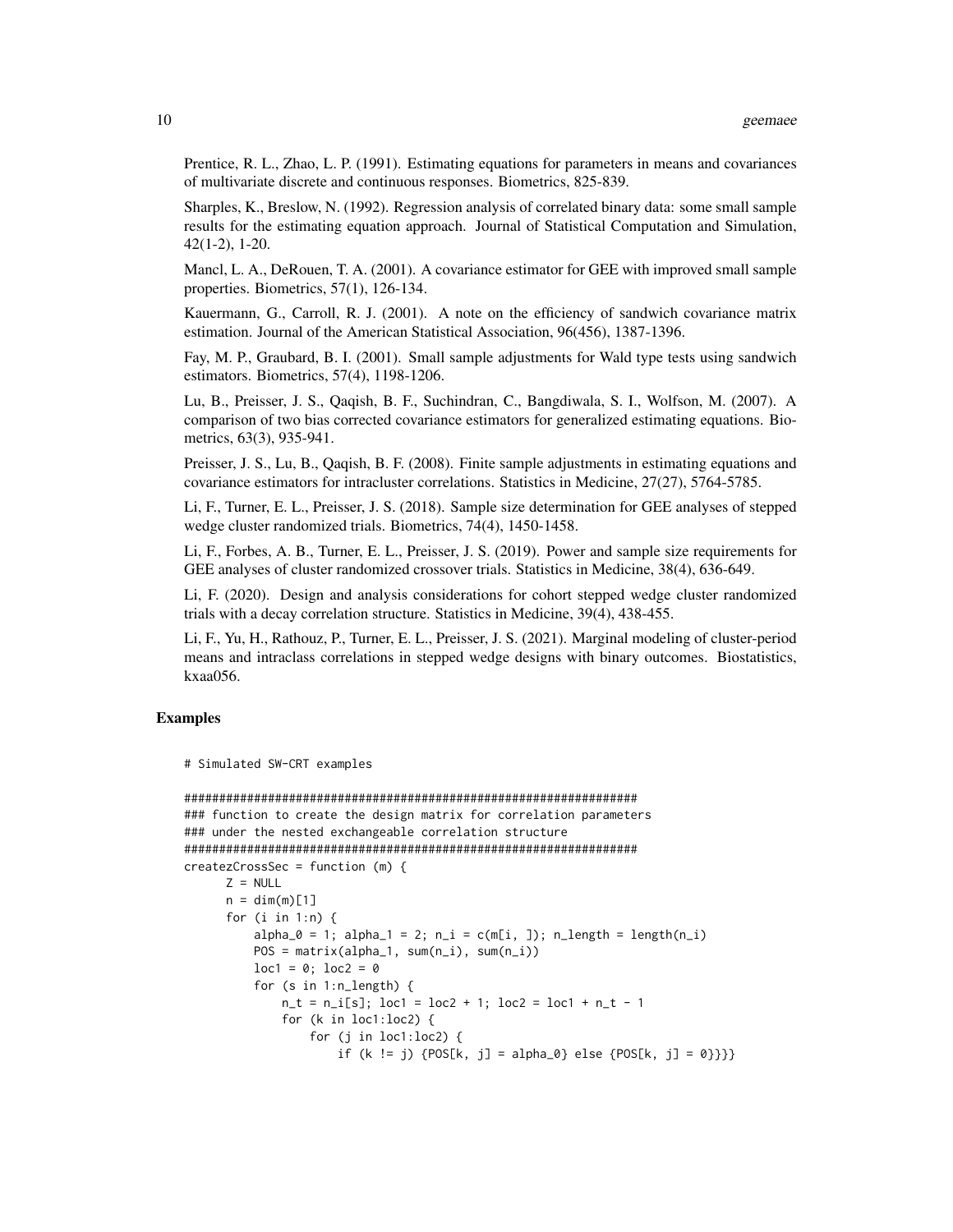Prentice, R. L., Zhao, L. P. (1991). Estimating equations for parameters in means and covariances of multivariate discrete and continuous responses. Biometrics, 825-839.

Sharples, K., Breslow, N. (1992). Regression analysis of correlated binary data: some small sample results for the estimating equation approach. Journal of Statistical Computation and Simulation, 42(1-2), 1-20.

Mancl, L. A., DeRouen, T. A. (2001). A covariance estimator for GEE with improved small sample properties. Biometrics, 57(1), 126-134.

Kauermann, G., Carroll, R. J. (2001). A note on the efficiency of sandwich covariance matrix estimation. Journal of the American Statistical Association, 96(456), 1387-1396.

Fay, M. P., Graubard, B. I. (2001). Small sample adjustments for Wald type tests using sandwich estimators. Biometrics, 57(4), 1198-1206.

Lu, B., Preisser, J. S., Qaqish, B. F., Suchindran, C., Bangdiwala, S. I., Wolfson, M. (2007). A comparison of two bias corrected covariance estimators for generalized estimating equations. Biometrics, 63(3), 935-941.

Preisser, J. S., Lu, B., Qaqish, B. F. (2008). Finite sample adjustments in estimating equations and covariance estimators for intracluster correlations. Statistics in Medicine, 27(27), 5764-5785.

Li, F., Turner, E. L., Preisser, J. S. (2018). Sample size determination for GEE analyses of stepped wedge cluster randomized trials. Biometrics, 74(4), 1450-1458.

Li, F., Forbes, A. B., Turner, E. L., Preisser, J. S. (2019). Power and sample size requirements for GEE analyses of cluster randomized crossover trials. Statistics in Medicine, 38(4), 636-649.

Li, F. (2020). Design and analysis considerations for cohort stepped wedge cluster randomized trials with a decay correlation structure. Statistics in Medicine, 39(4), 438-455.

Li, F., Yu, H., Rathouz, P., Turner, E. L., Preisser, J. S. (2021). Marginal modeling of cluster-period means and intraclass correlations in stepped wedge designs with binary outcomes. Biostatistics, kxaa056.

#### Examples

```
# Simulated SW-CRT examples
```

```
#################################################################
### function to create the design matrix for correlation parameters
### under the nested exchangeable correlation structure
#################################################################
createzCrossSec = function (m) {
     Z = NULLn = dim(m)[1]for (i in 1:n) {
         alpha_0 = 1; alpha_1 = 2; n_i = c(m[i, j)]; n_i = (m[i, j)]POS = matrix(alpha_1, sum(n_i), sum(n_i))
         loc1 = 0; loc2 = 0for (s in 1:n_length) {
             n_t = n_i[s]; loc1 = loc2 + 1; loc2 = loc1 + n_t - 1for (k in loc1:loc2) {
                 for (j in loc1:loc2) {
                     if (k != j) {POS[k, j] = alpha_0} else {POS[k, j] = 0}}
```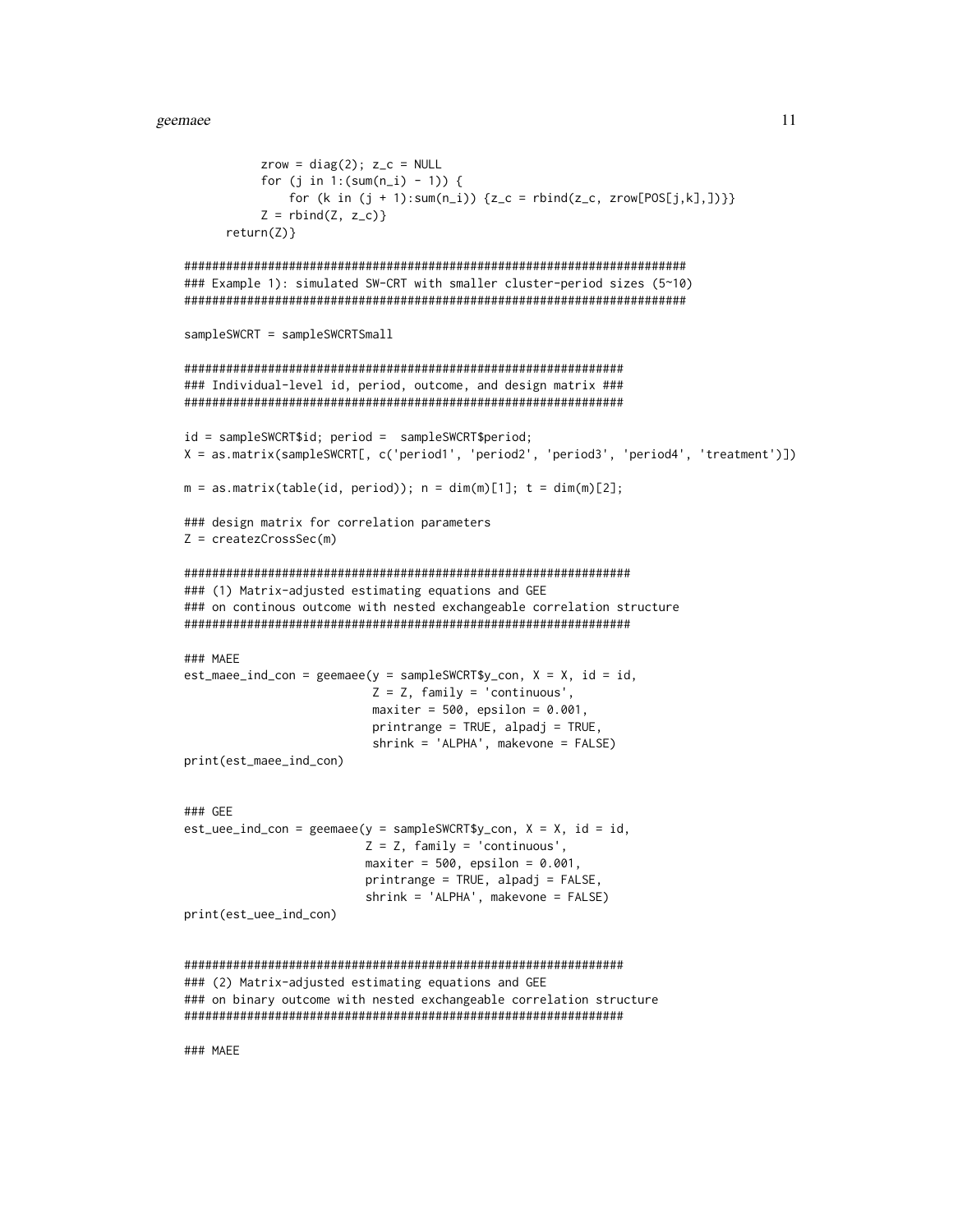```
zrow = diag(2); z_c = NULLfor (j in 1:(sum(n_i) - 1)) {
           for (k in (j + 1):sum(n_i)) {z_c = rbind(z_c, zrow[POS[j,k],])}}
        Z = \text{rbind}(Z, z_c)return(Z)}
### Example 1): simulated SW-CRT with smaller cluster-period sizes (5~10)
sampleSWCRT = sampleSWCRTSmall
### Individual-level id, period, outcome, and design matrix ###
id = samplesWCRT$id; period = samplesWCRT$period;X = as.matrix(sampleSWCRT[, c('period1', 'period2', 'period3', 'period4', 'treatment')])
m = as.matrix(table(id, period)); n = dim(m)[1]; t = dim(m)[2];### design matrix for correlation parameters
Z = \text{createzCrossSec(m)}### (1) Matrix-adjusted estimating equations and GEE
### on continous outcome with nested exchangeable correlation structure
### MAEE
est\_maee\_ind\_con = geemaee(y = samplesWCRT$y\_con, X = X, id = id,Z = Z, family = 'continuous',
                   maxiter = 500, epsilon = 0.001,
                   printrange = TRUE, alpadj = TRUE,shrink = 'ALPHA', makevone = FALSE)print(est_maee_ind_con)
### GEE
est\_uee\_ind\_con = geemaee(y = samplesWCRT$y\_con, X = X, id = id,Z = Z, family = 'continuous',
                  maxiter = 500, epsilon = 0.001,
                  primitive = TRUE, alpadj = FALSE,shrink = 'ALPHA', makevone = FALSE)print(est_uee_ind_con)
### (2) Matrix-adjusted estimating equations and GEE
### on binary outcome with nested exchangeable correlation structure
### MAEE
```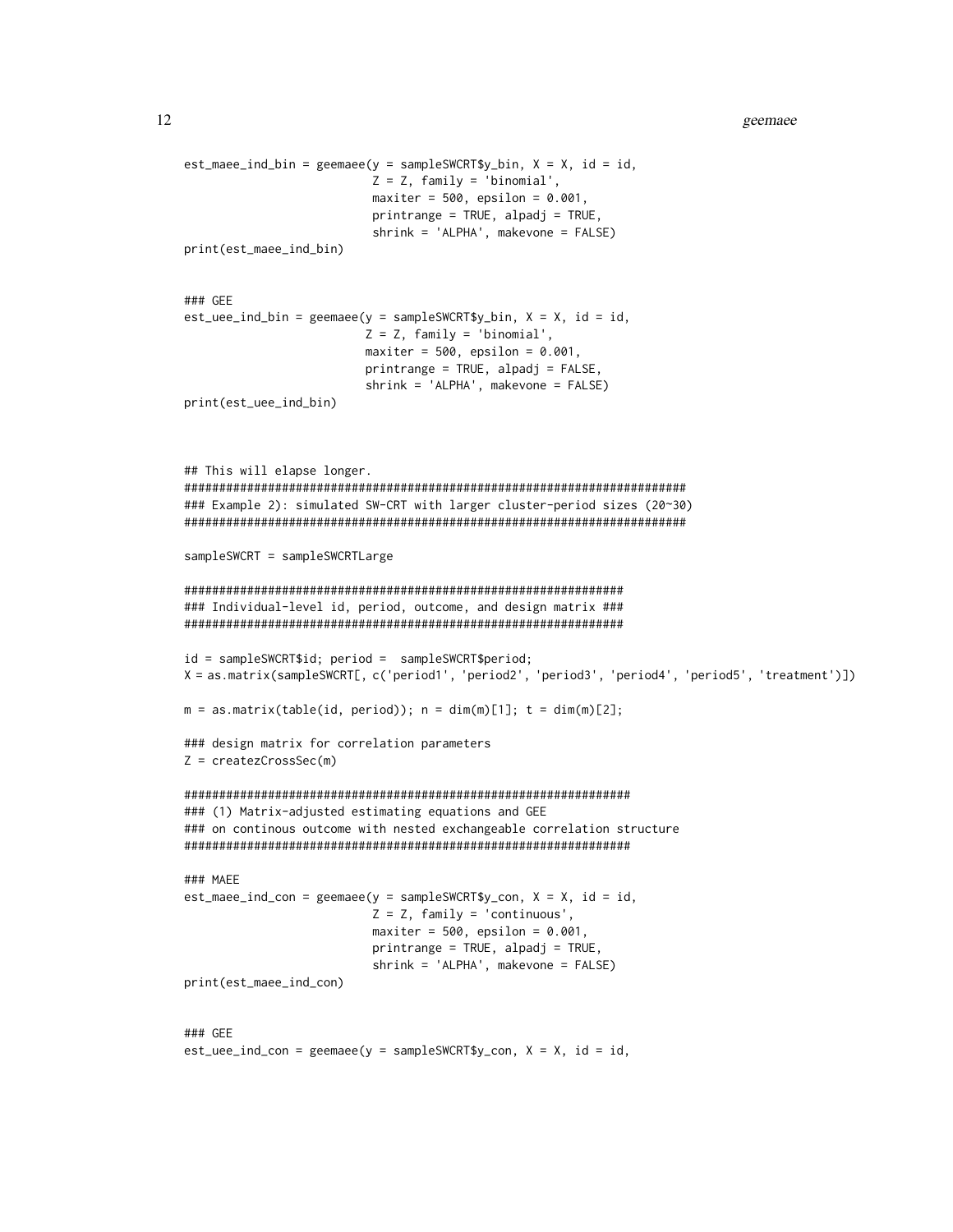```
est\_maee\_ind\_bin = geemaee(y = samplesWCRT$y\_bin, X = X, id = id,Z = Z, family = 'binomial',
                     maxiter = 500, epsilon = 0.001,
                     printrange = TRUE, alpadj = TRUE,shrink = 'ALPHA', makevone = FALSE)print(est_maee_ind_bin)
### GEE
est\_uee\_ind\_bin = geemaee(y = samplesWCRT$y\_bin, X = X, id = id,Z = Z, family = 'binomial',
                    maxiter = 500, epsilon = 0.001,
                    printrange = TRUE, alpadj = FALSE,
                    shrink = 'ALPHA', makevone = FALSE)print(est_uee_ind_bin)
## This will elapse longer.
### Example 2): simulated SW-CRT with larger cluster-period sizes (20~30)
sampleSWCRT = sampleSWCRTLarge
### Individual-level id, period, outcome, and design matrix ###
id = sampleSWCRT$id; period = sampleSWCRT$period;
X = as.matrix(sampleSWCRT[, c('period1', 'period2', 'period3', 'period4', 'period5', 'treatment')])
m = as.matrix(table(id, period)); n = dim(m)[1]; t = dim(m)[2];### design matrix for correlation parameters
Z = \text{createzCrossSec(m)}### (1) Matrix-adjusted estimating equations and GEE
### on continous outcome with nested exchangeable correlation structure
### MAEE
est\_maee\_ind\_con = geemaee(y = samplesWCRT$y\_con, X = X, id = id,Z = Z, family = 'continuous',
                     maxiter = 500, epsilon = 0.001,
                     printrange = TRUE, alpadj = TRUE,shrink = 'ALPHA', makevone = FALSE)print(est_maee_ind_con)
### GEE
est\_uee\_ind\_con = geemaee(y = samplesWCRT$y\_con, X = X, id = id,
```
12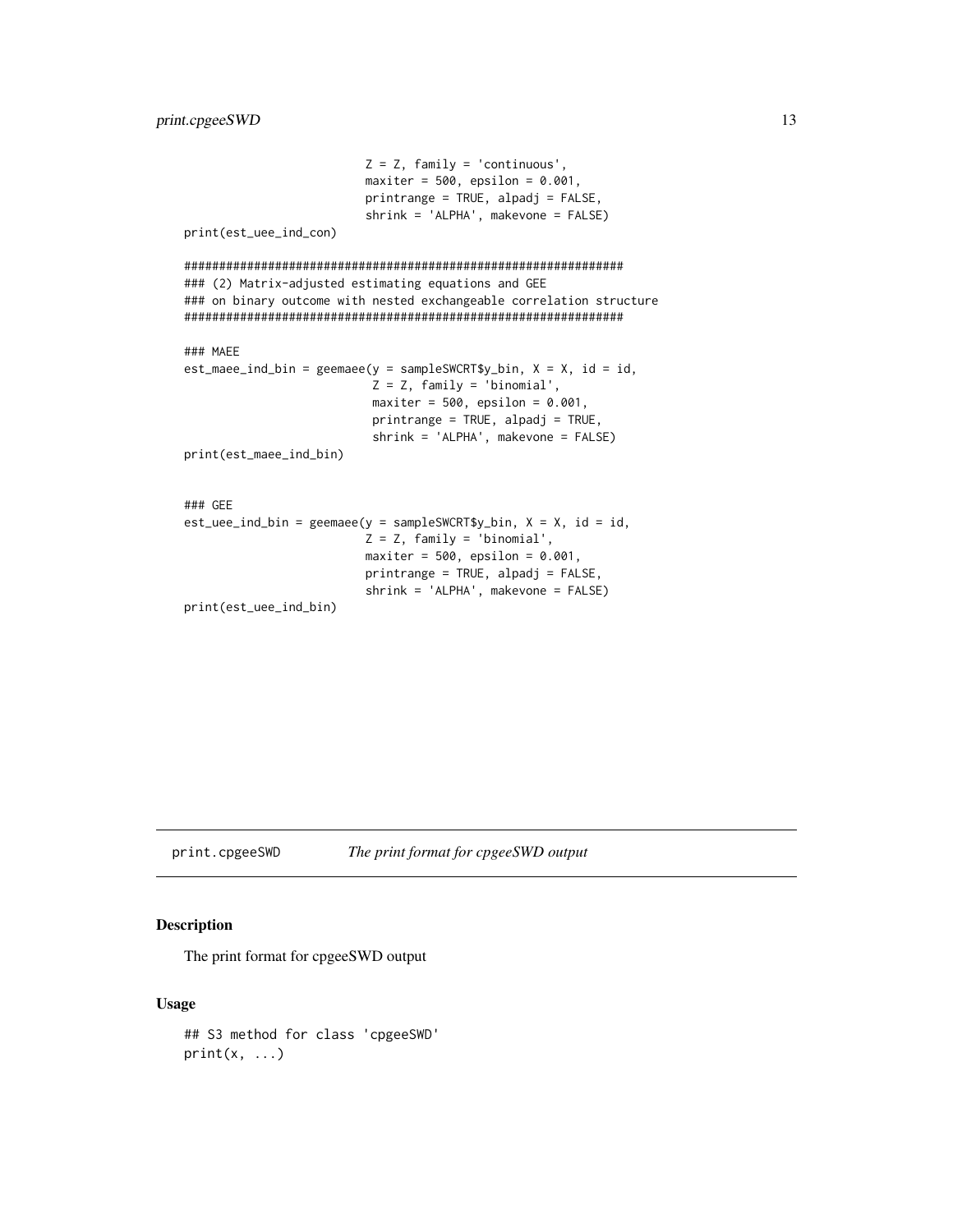```
Z = Z, family = 'continuous',
                      maxiter = 500, epsilon = 0.001,
                      printrange = TRUE, alpadj = FALSE,
                      shrink = 'ALPHA', makevone = FALSE)print(est_uee_ind_con)
### (2) Matrix-adjusted estimating equations and GEE
### on binary outcome with nested exchangeable correlation structure
### MAEE
est\_maee\_ind\_bin = geemaee(y = samplesWCRT$y\_bin, X = X, id = id,Z = Z, family = 'binomial',
                       maxiter = 500, epsilon = 0.001,
                       printrange = TRUE, alpadj = TRUE,
                       shrink = 'ALPHA', makevone = FALSE)
print(est_maee_ind_bin)
### GEE
est\_uee\_ind\_bin = geemaee(y = samplesWCRT$y\_bin, X = X, id = id,Z = Z, family = 'binomial',
                      maxiter = 500, epsilon = 0.001,
                      printrange = TRUE, alpadj = FALSE,
                      shrink = 'ALPHA', makevone = FALSE)print(est_uee_ind_bin)
```
print.cpgeeSWD

#### The print format for cpgeeSWD output

#### **Description**

The print format for cpgeeSWD output

#### **Usage**

```
## S3 method for class 'cpgeeSWD'
print(x, ...)
```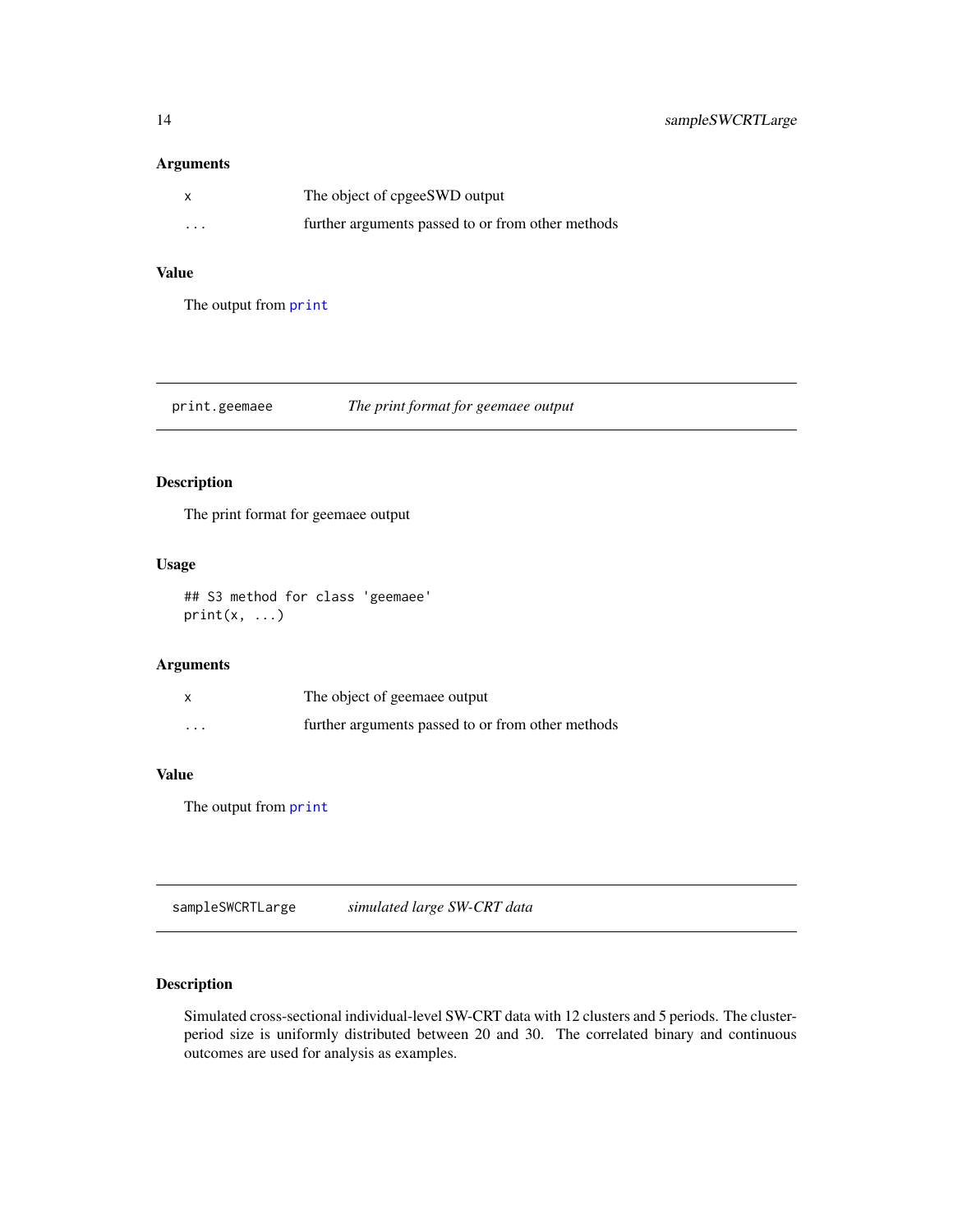#### <span id="page-13-0"></span>Arguments

| x        | The object of cpgeeSWD output                     |
|----------|---------------------------------------------------|
| $\cdots$ | further arguments passed to or from other methods |

#### Value

The output from [print](#page-0-0)

#### print.geemaee *The print format for geemaee output*

#### Description

The print format for geemaee output

#### Usage

## S3 method for class 'geemaee' print(x, ...)

#### Arguments

|                         | The object of geemaee output                      |
|-------------------------|---------------------------------------------------|
| $\cdot$ $\cdot$ $\cdot$ | further arguments passed to or from other methods |

#### Value

The output from [print](#page-0-0)

sampleSWCRTLarge *simulated large SW-CRT data*

#### Description

Simulated cross-sectional individual-level SW-CRT data with 12 clusters and 5 periods. The clusterperiod size is uniformly distributed between 20 and 30. The correlated binary and continuous outcomes are used for analysis as examples.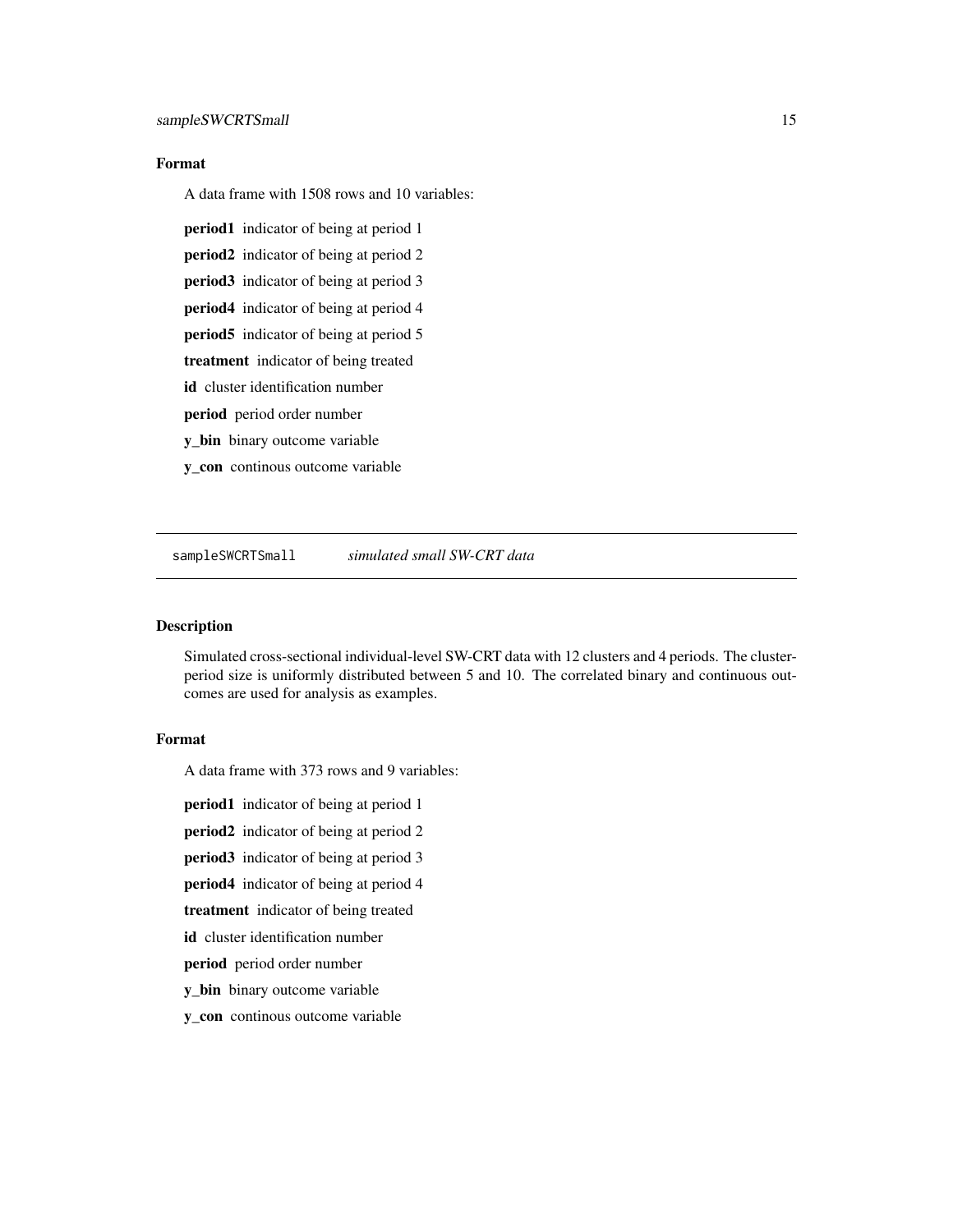#### <span id="page-14-0"></span>Format

A data frame with 1508 rows and 10 variables:

- period1 indicator of being at period 1
- period2 indicator of being at period 2
- period3 indicator of being at period 3
- period4 indicator of being at period 4
- period5 indicator of being at period 5
- treatment indicator of being treated
- id cluster identification number
- period period order number
- y\_bin binary outcome variable
- y\_con continous outcome variable

sampleSWCRTSmall *simulated small SW-CRT data*

#### Description

Simulated cross-sectional individual-level SW-CRT data with 12 clusters and 4 periods. The clusterperiod size is uniformly distributed between 5 and 10. The correlated binary and continuous outcomes are used for analysis as examples.

#### Format

A data frame with 373 rows and 9 variables:

**period1** indicator of being at period 1

- period2 indicator of being at period 2
- period3 indicator of being at period 3
- period4 indicator of being at period 4
- treatment indicator of being treated
- id cluster identification number
- period period order number
- y\_bin binary outcome variable
- y\_con continous outcome variable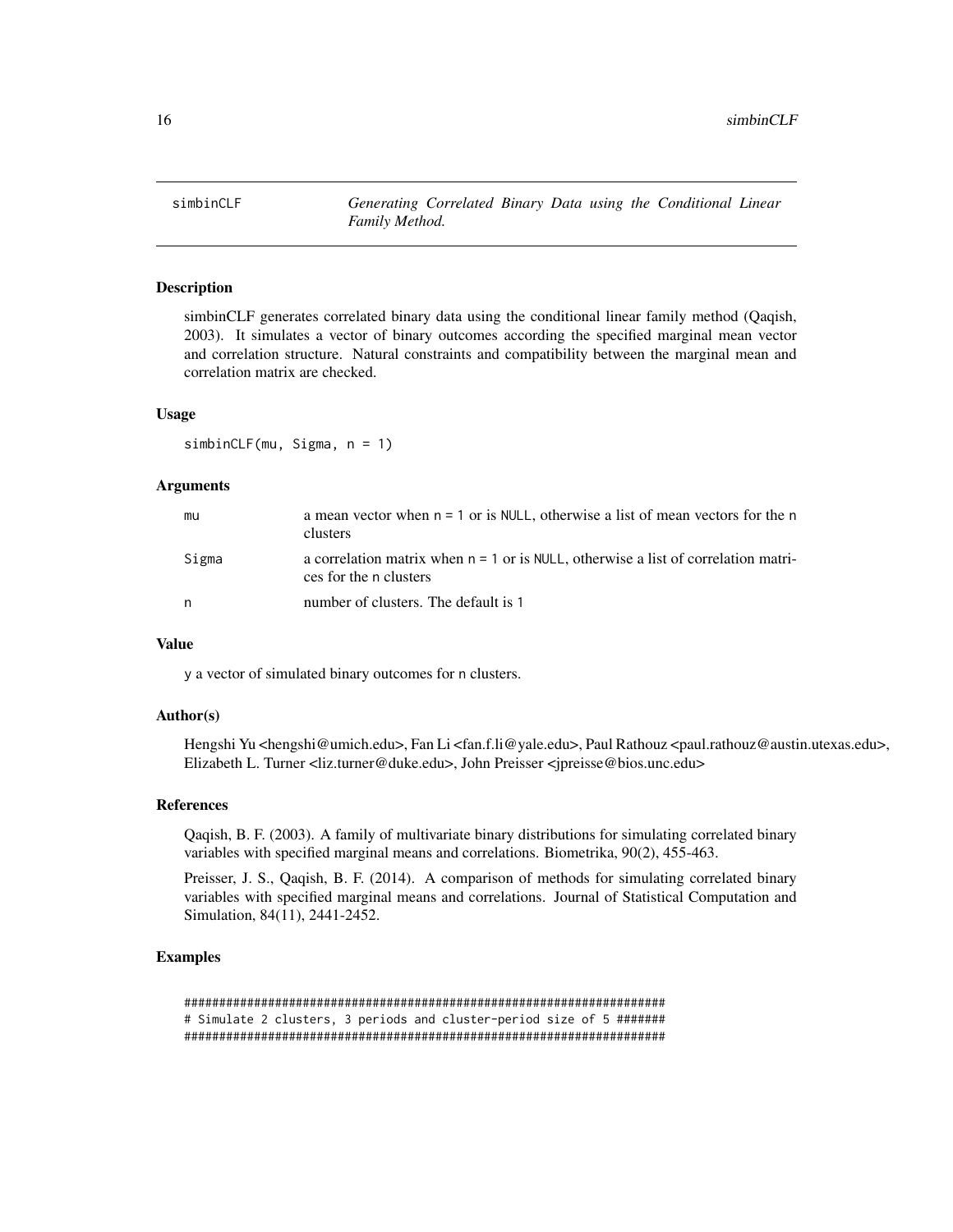<span id="page-15-0"></span>simbinCLF *Generating Correlated Binary Data using the Conditional Linear Family Method.*

#### **Description**

simbinCLF generates correlated binary data using the conditional linear family method (Qaqish, 2003). It simulates a vector of binary outcomes according the specified marginal mean vector and correlation structure. Natural constraints and compatibility between the marginal mean and correlation matrix are checked.

#### Usage

simbinCLF(mu, Sigma, n = 1)

#### Arguments

| mu    | a mean vector when $n = 1$ or is NULL, otherwise a list of mean vectors for the n<br>clusters                  |
|-------|----------------------------------------------------------------------------------------------------------------|
| Sigma | a correlation matrix when $n = 1$ or is NULL, otherwise a list of correlation matri-<br>ces for the n clusters |
| n     | number of clusters. The default is 1                                                                           |

#### Value

y a vector of simulated binary outcomes for n clusters.

#### Author(s)

Hengshi Yu <hengshi@umich.edu>, Fan Li <fan.f.li@yale.edu>, Paul Rathouz <paul.rathouz@austin.utexas.edu>, Elizabeth L. Turner <liz.turner@duke.edu>, John Preisser <jpreisse@bios.unc.edu>

#### References

Qaqish, B. F. (2003). A family of multivariate binary distributions for simulating correlated binary variables with specified marginal means and correlations. Biometrika, 90(2), 455-463.

Preisser, J. S., Qaqish, B. F. (2014). A comparison of methods for simulating correlated binary variables with specified marginal means and correlations. Journal of Statistical Computation and Simulation, 84(11), 2441-2452.

#### Examples

##################################################################### # Simulate 2 clusters, 3 periods and cluster-period size of 5 ####### #####################################################################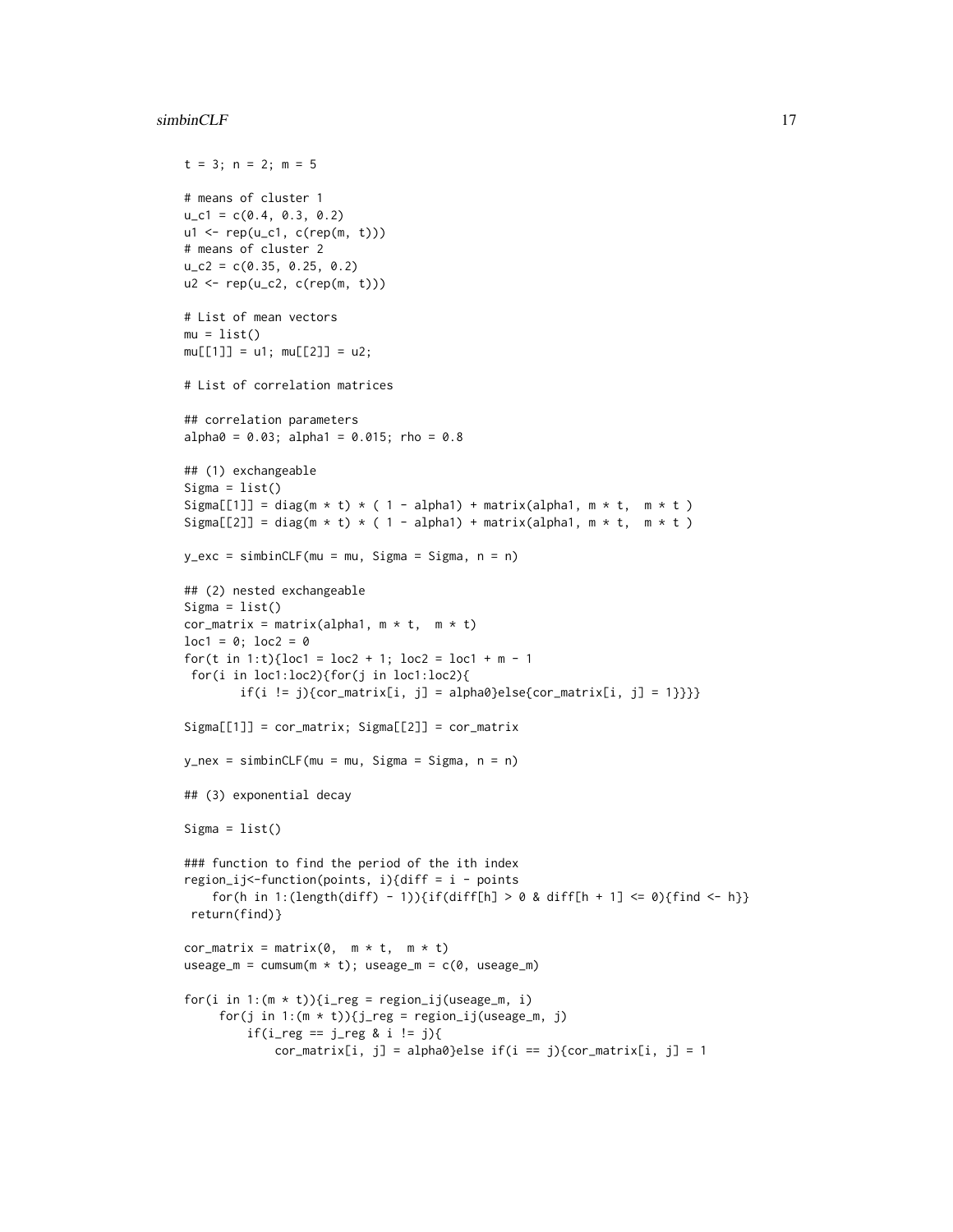#### $simplify CLF$  17

 $t = 3; n = 2; m = 5$ 

```
# means of cluster 1
u_c1 = c(0.4, 0.3, 0.2)u1 <- rep(u_c1, c(rep(m, t)))
# means of cluster 2
u_{c2} = c(0.35, 0.25, 0.2)u2 <- rep(u_c2, c(rep(m, t)))
# List of mean vectors
mu = list()mu[[1]] = u1; mu[[2]] = u2;# List of correlation matrices
## correlation parameters
alpha0 = 0.03; alpha1 = 0.015; rho = 0.8## (1) exchangeable
Signa = list()Sigma[[1]] = diag(m * t) * ( 1 - alpha1) + matrix(alpha1, m * t, m * t)
Sigma[[2]] = diag(m * t) * ( 1 - alpha1) + matrix(alpha1, m * t, m * t)
y_{\text{c}} = simbinCLF(mu = mu, Sigma = Sigma, n = n)
## (2) nested exchangeable
Signa = list()cor_matrix = matrix(alpha1, m * t, m * t)
loc1 = 0; loc2 = 0for(t in 1:t){loc1 = loc2 + 1; loc2 = loc1 + m - 1
for(i in loc1:loc2){for(j in loc1:loc2){
       if(i != j){cor_matrix[i, j] = alpha0}else{cor_matrix[i, j] = 1}}}}
Signa[[1]] = cor_matrix; Signal[2]] = cor_matrixy_new = simbinCLF(mu = mu, Sigma = Sigma, n = n)## (3) exponential decay
Signa = list()### function to find the period of the ith index
region_ij<-function(points, i){diff = i - points
    for(h in 1:(length(diff) - 1)){if(diff[h] > 0 & diff[h + 1] <= 0){find <- h}}
 return(find)}
cor_matrix = matrix(0, m * t, m * t)
useage_m = cumsum(m * t); useage_m = c(0, useage_m)for(i in 1:(m * t)){i_reg = region_ij(useage_m, i)
     for(j in 1:(m * t)){j_reg = region_ij(useage_m, j)
         if(i_reg == j_reg & i != j){
             cor_matrix[i, j] = alpha0} else if(i == j){cor_matrix[i, j] = 1}
```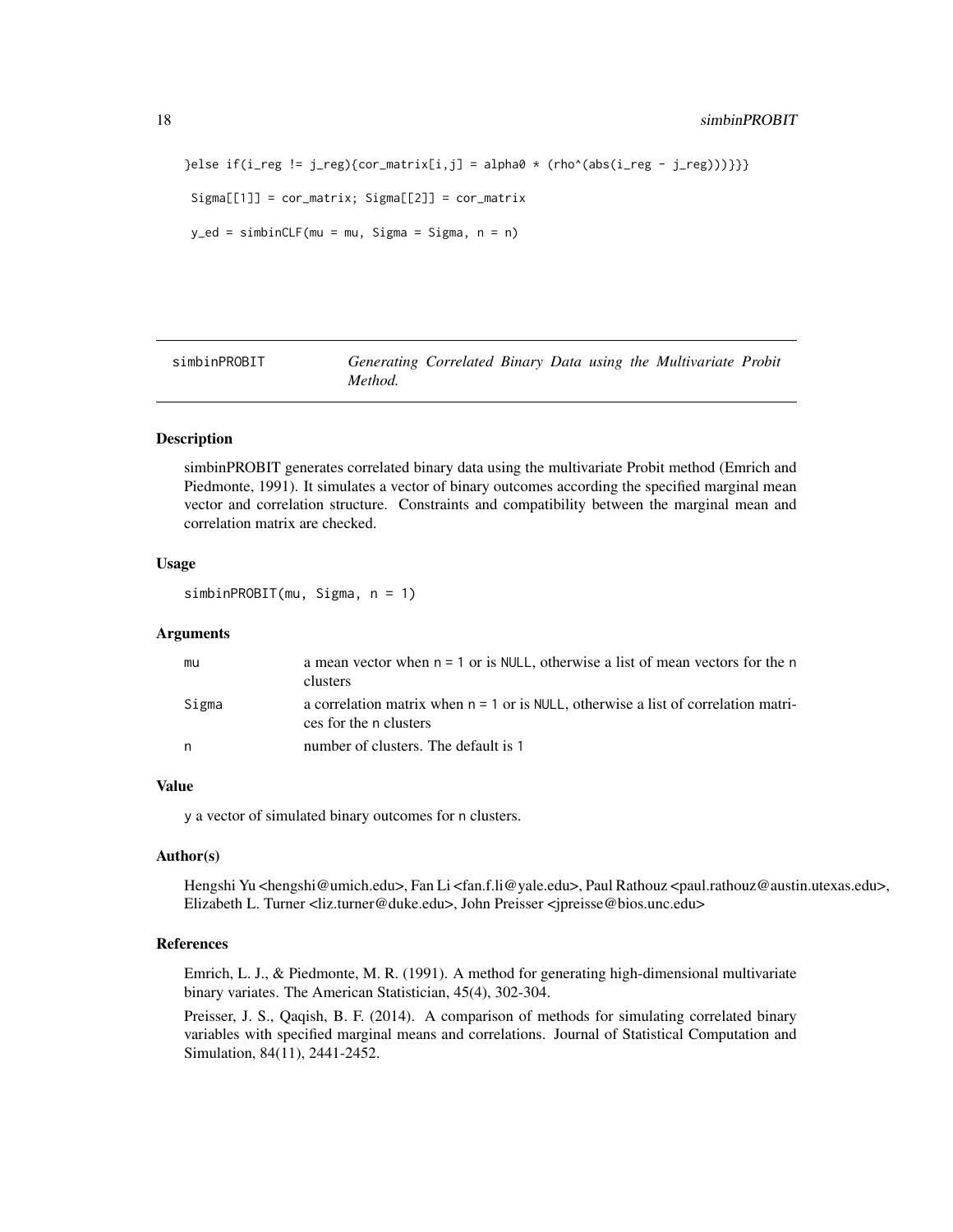```
}else if(i_reg != j_reg){cor_matrix[i,j] = alpha0 \star (rho^(abs(i_reg - j_reg)))}}}
Signa[[1]] = cor_matrix; Signa[[2]] = cor_matrixy<sup>-</sup>ed = simbinCLF(mu = mu, Sigma = Sigma, n = n)
```
simbinPROBIT *Generating Correlated Binary Data using the Multivariate Probit Method.*

#### Description

simbinPROBIT generates correlated binary data using the multivariate Probit method (Emrich and Piedmonte, 1991). It simulates a vector of binary outcomes according the specified marginal mean vector and correlation structure. Constraints and compatibility between the marginal mean and correlation matrix are checked.

#### Usage

simbinPROBIT(mu, Sigma, n = 1)

#### Arguments

| mu    | a mean vector when $n = 1$ or is NULL, otherwise a list of mean vectors for the n<br>clusters                  |
|-------|----------------------------------------------------------------------------------------------------------------|
| Sigma | a correlation matrix when $n = 1$ or is NULL, otherwise a list of correlation matri-<br>ces for the n clusters |
| n     | number of clusters. The default is 1                                                                           |

#### Value

y a vector of simulated binary outcomes for n clusters.

#### Author(s)

Hengshi Yu <hengshi@umich.edu>, Fan Li <fan.f.li@yale.edu>, Paul Rathouz <paul.rathouz@austin.utexas.edu>, Elizabeth L. Turner <liz.turner@duke.edu>, John Preisser <jpreisse@bios.unc.edu>

#### References

Emrich, L. J., & Piedmonte, M. R. (1991). A method for generating high-dimensional multivariate binary variates. The American Statistician, 45(4), 302-304.

Preisser, J. S., Qaqish, B. F. (2014). A comparison of methods for simulating correlated binary variables with specified marginal means and correlations. Journal of Statistical Computation and Simulation, 84(11), 2441-2452.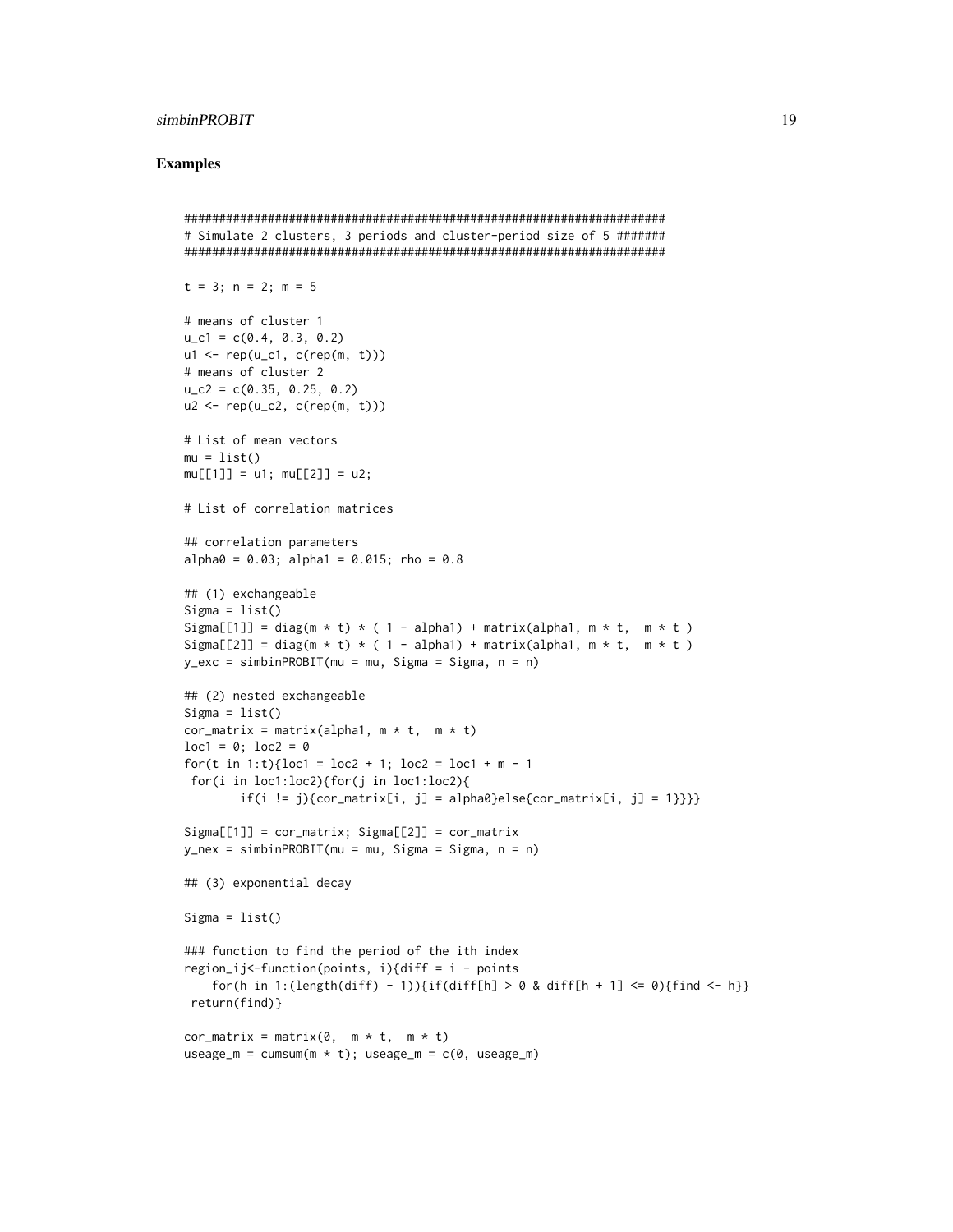#### simbinPROBIT 19

#### Examples

```
#####################################################################
# Simulate 2 clusters, 3 periods and cluster-period size of 5 #######
#####################################################################
t = 3; n = 2; m = 5# means of cluster 1
u_c1 = c(0.4, 0.3, 0.2)u1 \leftarrow rep(u_c1, c(rep(m, t)))# means of cluster 2
u_{c2} = c(0.35, 0.25, 0.2)u2 \leq -rep(u_c2, c(rep(m, t)))# List of mean vectors
mu = list()mu[[1]] = u1; mu[[2]] = u2;# List of correlation matrices
## correlation parameters
alpha0 = 0.03; alpha1 = 0.015; rho = 0.8## (1) exchangeable
Signa = list()Sigma[[1]] = diag(m * t) * ( 1 - alpha1) + matrix(alpha1, m * t, m * t)
Sigma[[2]] = diag(m * t) * ( 1 - alpha1) + matrix(alpha1, m * t, m * t)
y_exc = simbinPROBIT(mu = mu, Sigma = Sigma, n = n)
## (2) nested exchangeable
Signa = list()cor_matrix = matrix(alpha1, m * t, m * t)
loc1 = 0; loc2 = 0for(t in 1:t){loc1 = loc2 + 1; loc2 = loc1 + m - 1
for(i in loc1:loc2){for(j in loc1:loc2){
        if(i != j){cor_matrix[i, j] = alpha0}else{cor_matrix[i, j] = 1}}}}
Signa[[1]] = cor_matrix; Signa[[2]] = cor_matrixy_new = simbinPROBIT(mu = mu, Sigma = Sigma, n = n)## (3) exponential decay
Sigma = list()### function to find the period of the ith index
region_ij<-function(points, i){diff = i - points
    for(h in 1:(length(diff) - 1)){if(diff[h] > 0 & diff[h + 1] <= 0){find <- h}}
 return(find)}
cor_matrix = matrix(0, m * t, m * t)
useage_m = cumsum(m * t); useage_m = c(0, useage_m)
```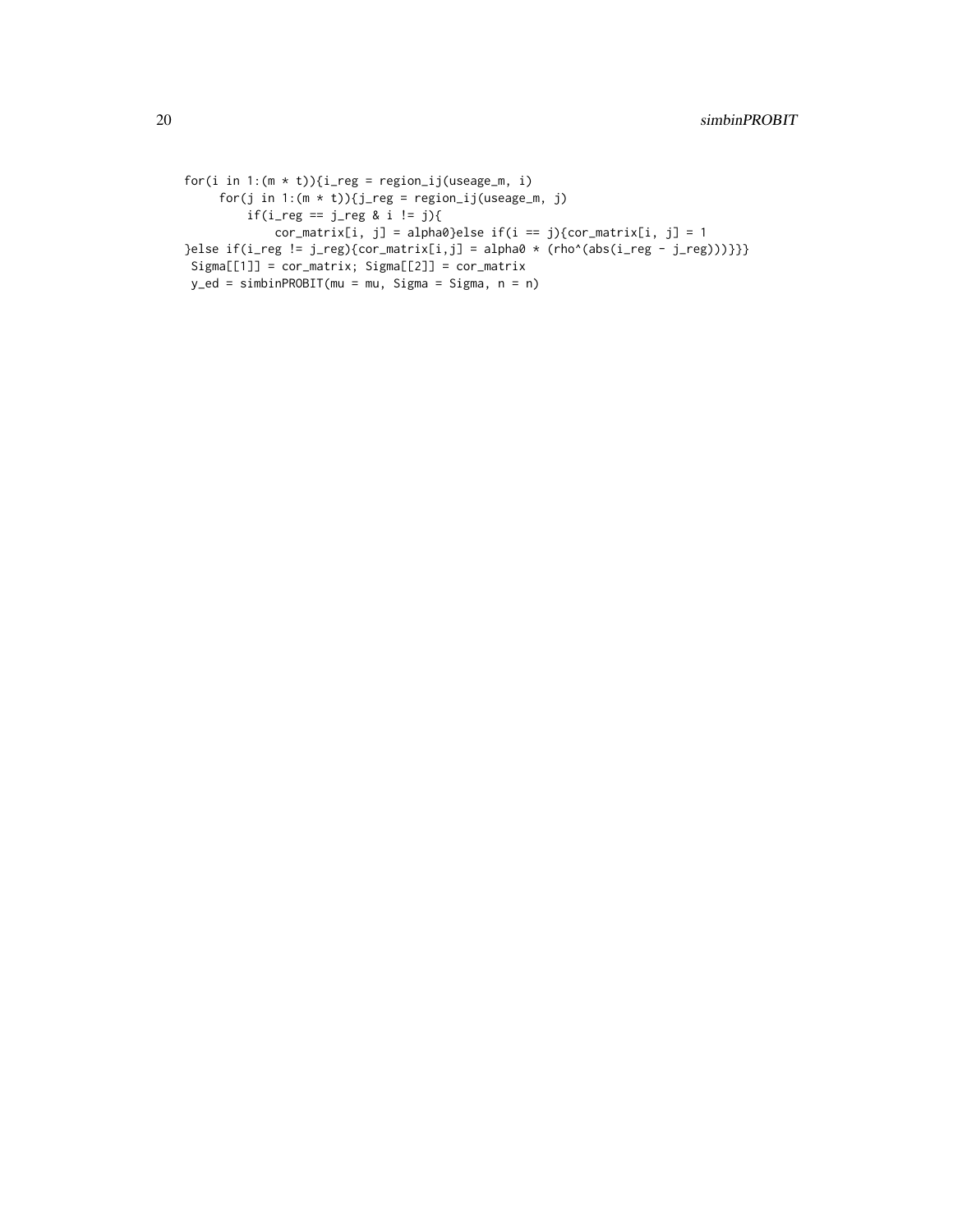```
for(i in 1:(m * t)){i_reg = region_ij(useage_m, i)
     for(j in 1:(m * t)){j_reg = region_ij(useage_m, j)
        if(i_{reg} == j_{reg} & i != j){
            cor_matrix[i, j] = alpha0}else if(i == j){cor_matrix[i, j] = 1
}else if(i_reg != j_reg){cor_matrix[i,j] = alpha0 * (rho^(abs(i_reg - j_reg)))}}}
Signa[[1]] = cor_matrix; Sigma[[2]] = cor_matrixy_ed = simbinPROBIT(mu = mu, Sigma = Sigma, n = n)
```